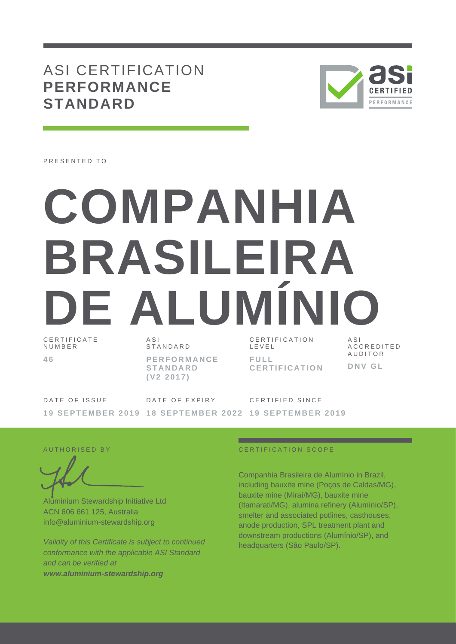## ASI CERTIFICATION **PERFORMANCE STANDARD**



PRESENTED TO

# **COMPANHIA BRASILEIRA**  DE ALUMINI

C E R T I F I C A T E N U M B E R **4 6**

A S I S T A N D A R D **P E R F O R M A N C E S T A N D A R D ( V 2 2 0 1 7 )**

C E R T I F I C A T I O N L E V E L **F U L L C E R T I F I C A T I O N**

A S I A C C R E D I T E D **AUDITOR D N V G L**

DATE OF ISSUE 19 SEPTEMBER 2019 18 SEPTEMBER 2022 19 SEPTEMBER 2019 DATE OF EXPIRY C E R T I F I E D S I N C E

Aluminium Stewardship Initiative Ltd ACN 606 661 125, Australia info@aluminium-stewardship.org

*Validity of this Certificate is subject to continued conformance with the applicable ASI Standard and can be verified at www.aluminium-stewardship.org*

#### A UT HORISED BY CERTIFICATION SCOPE

Companhia Brasileira de Alumínio in Brazil, including bauxite mine (Poços de Caldas/MG), bauxite mine (Miraí/MG), bauxite mine (Itamarati/MG), alumina refinery (Alumínio/SP), smelter and associated potlines, casthouses, anode production, SPL treatment plant and downstream productions (Alumínio/SP), and headquarters (São Paulo/SP).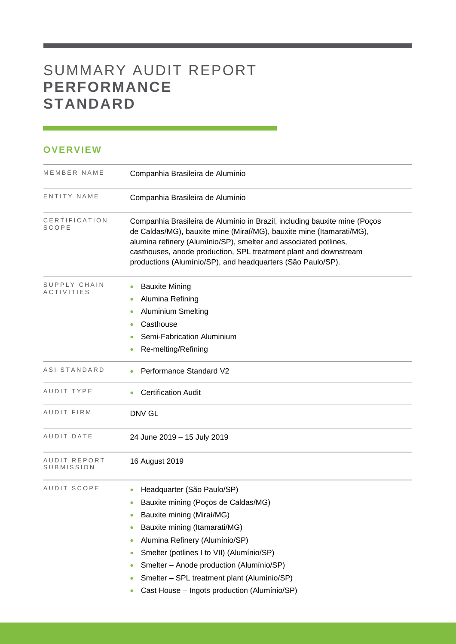## SUMMARY AUDIT REPORT **PERFORMANCE STANDARD**

### **OVERVIEW**

| MEMBER NAME                       | Companhia Brasileira de Alumínio                                                                                                                                                                                                                                                                                                                                                             |
|-----------------------------------|----------------------------------------------------------------------------------------------------------------------------------------------------------------------------------------------------------------------------------------------------------------------------------------------------------------------------------------------------------------------------------------------|
| ENTITY NAME                       | Companhia Brasileira de Alumínio                                                                                                                                                                                                                                                                                                                                                             |
| CERTIFICATION<br>SCOPE            | Companhia Brasileira de Alumínio in Brazil, including bauxite mine (Poços<br>de Caldas/MG), bauxite mine (Miraí/MG), bauxite mine (Itamarati/MG),<br>alumina refinery (Alumínio/SP), smelter and associated potlines,<br>casthouses, anode production, SPL treatment plant and downstream<br>productions (Alumínio/SP), and headquarters (São Paulo/SP).                                     |
| SUPPLY CHAIN<br><b>ACTIVITIES</b> | <b>Bauxite Mining</b><br>۰<br>Alumina Refining<br>$\bullet$<br><b>Aluminium Smelting</b><br>Casthouse<br>Semi-Fabrication Aluminium<br>Re-melting/Refining<br>۰                                                                                                                                                                                                                              |
| ASI STANDARD                      | Performance Standard V2                                                                                                                                                                                                                                                                                                                                                                      |
| AUDIT TYPE                        | <b>Certification Audit</b>                                                                                                                                                                                                                                                                                                                                                                   |
| AUDIT FIRM                        | <b>DNV GL</b>                                                                                                                                                                                                                                                                                                                                                                                |
| AUDIT DATE                        | 24 June 2019 - 15 July 2019                                                                                                                                                                                                                                                                                                                                                                  |
| AUDIT REPORT<br>SUBMISSION        | 16 August 2019                                                                                                                                                                                                                                                                                                                                                                               |
| AUDIT SCOPE                       | Headquarter (São Paulo/SP)<br>Bauxite mining (Poços de Caldas/MG)<br>۰<br>Bauxite mining (Miraí/MG)<br>۰<br>Bauxite mining (Itamarati/MG)<br>۰<br>Alumina Refinery (Alumínio/SP)<br>Smelter (potlines I to VII) (Alumínio/SP)<br>۰<br>Smelter - Anode production (Alumínio/SP)<br>۰<br>Smelter - SPL treatment plant (Alumínio/SP)<br>۰<br>Cast House - Ingots production (Alumínio/SP)<br>۰ |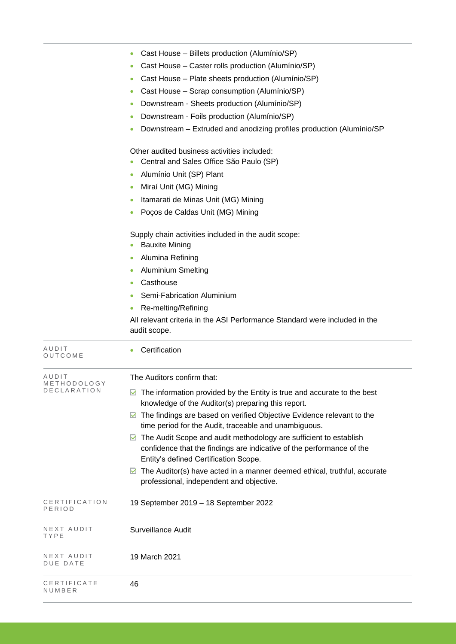| NEXT AUDIT<br>DUE DATE              | 19 March 2021                                                                                                                                                                                            |
|-------------------------------------|----------------------------------------------------------------------------------------------------------------------------------------------------------------------------------------------------------|
|                                     |                                                                                                                                                                                                          |
| NEXT AUDIT<br>TYPE                  | <b>Surveillance Audit</b>                                                                                                                                                                                |
| CERTIFICATION<br>PERIOD             | 19 September 2019 - 18 September 2022                                                                                                                                                                    |
|                                     | Entity's defined Certification Scope.<br>The Auditor(s) have acted in a manner deemed ethical, truthful, accurate<br>M<br>professional, independent and objective.                                       |
|                                     | time period for the Audit, traceable and unambiguous.<br>The Audit Scope and audit methodology are sufficient to establish<br>M<br>confidence that the findings are indicative of the performance of the |
|                                     | knowledge of the Auditor(s) preparing this report.<br>▶ The findings are based on verified Objective Evidence relevant to the                                                                            |
| AUDIT<br>METHODOLOGY<br>DECLARATION | The Auditors confirm that:<br>$\blacksquare$ The information provided by the Entity is true and accurate to the best                                                                                     |
| AUDIT<br>OUTCOME                    | Certification<br>$\bullet$                                                                                                                                                                               |
|                                     | Casthouse<br>Semi-Fabrication Aluminium<br>Re-melting/Refining<br>All relevant criteria in the ASI Performance Standard were included in the<br>audit scope.                                             |
|                                     | <b>Aluminium Smelting</b>                                                                                                                                                                                |
|                                     | <b>Bauxite Mining</b><br>Alumina Refining                                                                                                                                                                |
|                                     | Supply chain activities included in the audit scope:                                                                                                                                                     |
|                                     | Poços de Caldas Unit (MG) Mining                                                                                                                                                                         |
|                                     | Miraí Unit (MG) Mining<br>Itamarati de Minas Unit (MG) Mining                                                                                                                                            |
|                                     | Alumínio Unit (SP) Plant                                                                                                                                                                                 |
|                                     | Other audited business activities included:<br>Central and Sales Office São Paulo (SP)                                                                                                                   |
|                                     | Downstream – Extruded and anodizing profiles production (Alumínio/SP                                                                                                                                     |
|                                     | Downstream - Foils production (Alumínio/SP)                                                                                                                                                              |
|                                     | Downstream - Sheets production (Alumínio/SP)                                                                                                                                                             |
|                                     | Cast House - Plate sheets production (Alumínio/SP)<br>Cast House - Scrap consumption (Alumínio/SP)                                                                                                       |
|                                     |                                                                                                                                                                                                          |
|                                     | Cast House - Caster rolls production (Alumínio/SP)                                                                                                                                                       |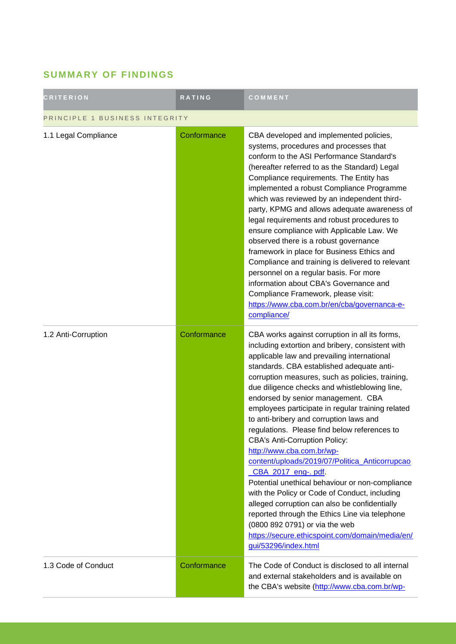## **SUMMARY OF FINDINGS**

| <b>CRITERION</b>               | <b>RATING</b> | COMMENT                                                                                                                                                                                                                                                                                                                                                                                                                                                                                                                                                                                                                                                                                                                                                                                                                                                                                                                                                   |  |
|--------------------------------|---------------|-----------------------------------------------------------------------------------------------------------------------------------------------------------------------------------------------------------------------------------------------------------------------------------------------------------------------------------------------------------------------------------------------------------------------------------------------------------------------------------------------------------------------------------------------------------------------------------------------------------------------------------------------------------------------------------------------------------------------------------------------------------------------------------------------------------------------------------------------------------------------------------------------------------------------------------------------------------|--|
| PRINCIPLE 1 BUSINESS INTEGRITY |               |                                                                                                                                                                                                                                                                                                                                                                                                                                                                                                                                                                                                                                                                                                                                                                                                                                                                                                                                                           |  |
| 1.1 Legal Compliance           | Conformance   | CBA developed and implemented policies,<br>systems, procedures and processes that<br>conform to the ASI Performance Standard's<br>(hereafter referred to as the Standard) Legal<br>Compliance requirements. The Entity has<br>implemented a robust Compliance Programme<br>which was reviewed by an independent third-<br>party, KPMG and allows adequate awareness of<br>legal requirements and robust procedures to<br>ensure compliance with Applicable Law. We<br>observed there is a robust governance<br>framework in place for Business Ethics and<br>Compliance and training is delivered to relevant<br>personnel on a regular basis. For more<br>information about CBA's Governance and<br>Compliance Framework, please visit:<br>https://www.cba.com.br/en/cba/governanca-e-<br>compliance/                                                                                                                                                    |  |
| 1.2 Anti-Corruption            | Conformance   | CBA works against corruption in all its forms,<br>including extortion and bribery, consistent with<br>applicable law and prevailing international<br>standards. CBA established adequate anti-<br>corruption measures, such as policies, training,<br>due diligence checks and whistleblowing line,<br>endorsed by senior management. CBA<br>employees participate in regular training related<br>to anti-bribery and corruption laws and<br>regulations. Please find below references to<br><b>CBA's Anti-Corruption Policy:</b><br>http://www.cba.com.br/wp-<br>content/uploads/2019/07/Politica_Anticorrupcao<br>CBA_2017_eng-.pdf<br>Potential unethical behaviour or non-compliance<br>with the Policy or Code of Conduct, including<br>alleged corruption can also be confidentially<br>reported through the Ethics Line via telephone<br>(0800 892 0791) or via the web<br>https://secure.ethicspoint.com/domain/media/en/<br>gui/53296/index.html |  |
| 1.3 Code of Conduct            | Conformance   | The Code of Conduct is disclosed to all internal<br>and external stakeholders and is available on<br>the CBA's website (http://www.cba.com.br/wp-                                                                                                                                                                                                                                                                                                                                                                                                                                                                                                                                                                                                                                                                                                                                                                                                         |  |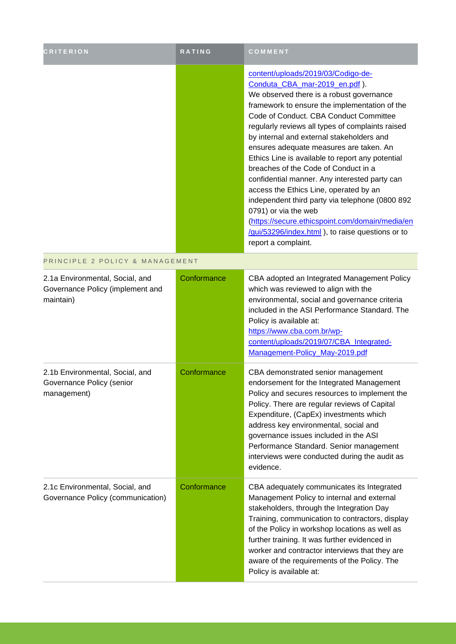| <b>CRITERION</b>                                                                 | <b>RATING</b> | COMMENT                                                                                                                                                                                                                                                                                                                                                                                                                                                                                                                                                                                                                                                                                                                                                 |
|----------------------------------------------------------------------------------|---------------|---------------------------------------------------------------------------------------------------------------------------------------------------------------------------------------------------------------------------------------------------------------------------------------------------------------------------------------------------------------------------------------------------------------------------------------------------------------------------------------------------------------------------------------------------------------------------------------------------------------------------------------------------------------------------------------------------------------------------------------------------------|
|                                                                                  |               | content/uploads/2019/03/Codigo-de-<br>Conduta_CBA_mar-2019_en.pdf).<br>We observed there is a robust governance<br>framework to ensure the implementation of the<br>Code of Conduct. CBA Conduct Committee<br>regularly reviews all types of complaints raised<br>by internal and external stakeholders and<br>ensures adequate measures are taken. An<br>Ethics Line is available to report any potential<br>breaches of the Code of Conduct in a<br>confidential manner. Any interested party can<br>access the Ethics Line, operated by an<br>independent third party via telephone (0800 892<br>0791) or via the web<br>(https://secure.ethicspoint.com/domain/media/en<br>/gui/53296/index.html ), to raise questions or to<br>report a complaint. |
| PRINCIPLE 2 POLICY & MANAGEMENT                                                  |               |                                                                                                                                                                                                                                                                                                                                                                                                                                                                                                                                                                                                                                                                                                                                                         |
| 2.1a Environmental, Social, and<br>Governance Policy (implement and<br>maintain) | Conformance   | CBA adopted an Integrated Management Policy<br>which was reviewed to align with the<br>environmental, social and governance criteria<br>included in the ASI Performance Standard. The<br>Policy is available at:<br>https://www.cba.com.br/wp-<br>content/uploads/2019/07/CBA Integrated-<br>Management-Policy_May-2019.pdf                                                                                                                                                                                                                                                                                                                                                                                                                             |
| 2.1b Environmental, Social, and<br>Governance Policy (senior<br>management)      | Conformance   | CBA demonstrated senior management<br>endorsement for the Integrated Management<br>Policy and secures resources to implement the<br>Policy. There are regular reviews of Capital<br>Expenditure, (CapEx) investments which<br>address key environmental, social and<br>governance issues included in the ASI<br>Performance Standard. Senior management<br>interviews were conducted during the audit as<br>evidence.                                                                                                                                                                                                                                                                                                                                   |
| 2.1c Environmental, Social, and<br>Governance Policy (communication)             | Conformance   | CBA adequately communicates its Integrated<br>Management Policy to internal and external<br>stakeholders, through the Integration Day<br>Training, communication to contractors, display<br>of the Policy in workshop locations as well as<br>further training. It was further evidenced in<br>worker and contractor interviews that they are<br>aware of the requirements of the Policy. The<br>Policy is available at:                                                                                                                                                                                                                                                                                                                                |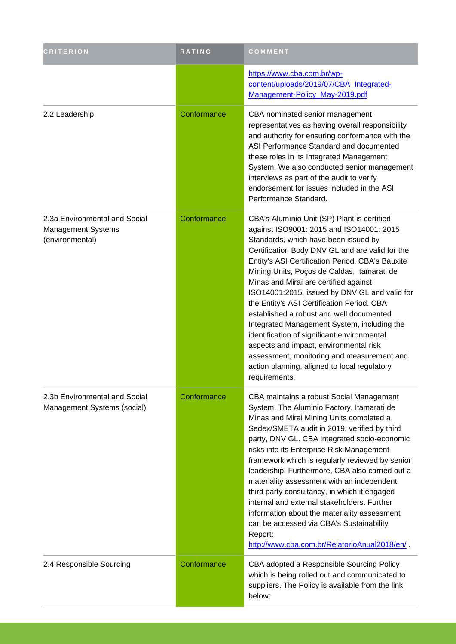| <b>CRITERION</b>                                                              | RATING      | COMMENT                                                                                                                                                                                                                                                                                                                                                                                                                                                                                                                                                                                                                                                                                                                          |
|-------------------------------------------------------------------------------|-------------|----------------------------------------------------------------------------------------------------------------------------------------------------------------------------------------------------------------------------------------------------------------------------------------------------------------------------------------------------------------------------------------------------------------------------------------------------------------------------------------------------------------------------------------------------------------------------------------------------------------------------------------------------------------------------------------------------------------------------------|
|                                                                               |             | https://www.cba.com.br/wp-<br>content/uploads/2019/07/CBA_Integrated-<br>Management-Policy_May-2019.pdf                                                                                                                                                                                                                                                                                                                                                                                                                                                                                                                                                                                                                          |
| 2.2 Leadership                                                                | Conformance | CBA nominated senior management<br>representatives as having overall responsibility<br>and authority for ensuring conformance with the<br>ASI Performance Standard and documented<br>these roles in its Integrated Management<br>System. We also conducted senior management<br>interviews as part of the audit to verify<br>endorsement for issues included in the ASI<br>Performance Standard.                                                                                                                                                                                                                                                                                                                                 |
| 2.3a Environmental and Social<br><b>Management Systems</b><br>(environmental) | Conformance | CBA's Alumínio Unit (SP) Plant is certified<br>against ISO9001: 2015 and ISO14001: 2015<br>Standards, which have been issued by<br>Certification Body DNV GL and are valid for the<br>Entity's ASI Certification Period. CBA's Bauxite<br>Mining Units, Poços de Caldas, Itamarati de<br>Minas and Miraí are certified against<br>ISO14001:2015, issued by DNV GL and valid for<br>the Entity's ASI Certification Period. CBA<br>established a robust and well documented<br>Integrated Management System, including the<br>identification of significant environmental<br>aspects and impact, environmental risk<br>assessment, monitoring and measurement and<br>action planning, aligned to local regulatory<br>requirements. |
| 2.3b Environmental and Social<br>Management Systems (social)                  | Conformance | CBA maintains a robust Social Management<br>System. The Aluminio Factory, Itamarati de<br>Minas and Mirai Mining Units completed a<br>Sedex/SMETA audit in 2019, verified by third<br>party, DNV GL. CBA integrated socio-economic<br>risks into its Enterprise Risk Management<br>framework which is regularly reviewed by senior<br>leadership. Furthermore, CBA also carried out a<br>materiality assessment with an independent<br>third party consultancy, in which it engaged<br>internal and external stakeholders. Further<br>information about the materiality assessment<br>can be accessed via CBA's Sustainability<br>Report:<br>http://www.cba.com.br/RelatorioAnual2018/en/                                        |
| 2.4 Responsible Sourcing                                                      | Conformance | CBA adopted a Responsible Sourcing Policy<br>which is being rolled out and communicated to<br>suppliers. The Policy is available from the link<br>below:                                                                                                                                                                                                                                                                                                                                                                                                                                                                                                                                                                         |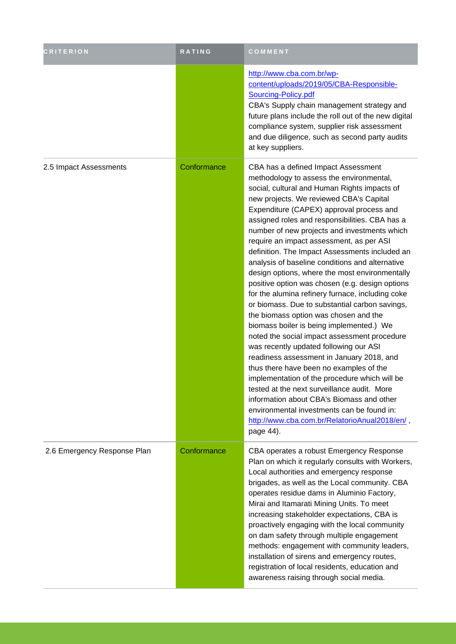| <b>CRITERION</b>            | <b>RATING</b> | COMMENT                                                                                                                                                                                                                                                                                                                                                                                                                                                                                                                                                                                                                                                                                                                                                                                                                                                                                                                                                                                                                                                                                                                                                                                                              |
|-----------------------------|---------------|----------------------------------------------------------------------------------------------------------------------------------------------------------------------------------------------------------------------------------------------------------------------------------------------------------------------------------------------------------------------------------------------------------------------------------------------------------------------------------------------------------------------------------------------------------------------------------------------------------------------------------------------------------------------------------------------------------------------------------------------------------------------------------------------------------------------------------------------------------------------------------------------------------------------------------------------------------------------------------------------------------------------------------------------------------------------------------------------------------------------------------------------------------------------------------------------------------------------|
|                             |               | http://www.cba.com.br/wp-<br>content/uploads/2019/05/CBA-Responsible-<br>Sourcing-Policy.pdf<br>CBA's Supply chain management strategy and<br>future plans include the roll out of the new digital<br>compliance system, supplier risk assessment<br>and due diligence, such as second party audits<br>at key suppliers.                                                                                                                                                                                                                                                                                                                                                                                                                                                                                                                                                                                                                                                                                                                                                                                                                                                                                             |
| 2.5 Impact Assessments      | Conformance   | CBA has a defined Impact Assessment<br>methodology to assess the environmental,<br>social, cultural and Human Rights impacts of<br>new projects. We reviewed CBA's Capital<br>Expenditure (CAPEX) approval process and<br>assigned roles and responsibilities. CBA has a<br>number of new projects and investments which<br>require an impact assessment, as per ASI<br>definition. The Impact Assessments included an<br>analysis of baseline conditions and alternative<br>design options, where the most environmentally<br>positive option was chosen (e.g. design options<br>for the alumina refinery furnace, including coke<br>or biomass. Due to substantial carbon savings,<br>the biomass option was chosen and the<br>biomass boiler is being implemented.) We<br>noted the social impact assessment procedure<br>was recently updated following our ASI<br>readiness assessment in January 2018, and<br>thus there have been no examples of the<br>implementation of the procedure which will be<br>tested at the next surveillance audit. More<br>information about CBA's Biomass and other<br>environmental investments can be found in:<br>http://www.cba.com.br/RelatorioAnual2018/en/,<br>page 44). |
| 2.6 Emergency Response Plan | Conformance   | CBA operates a robust Emergency Response<br>Plan on which it regularly consults with Workers,<br>Local authorities and emergency response<br>brigades, as well as the Local community. CBA<br>operates residue dams in Aluminio Factory,<br>Mirai and Itamarati Mining Units. To meet<br>increasing stakeholder expectations, CBA is<br>proactively engaging with the local community<br>on dam safety through multiple engagement<br>methods: engagement with community leaders,<br>installation of sirens and emergency routes,<br>registration of local residents, education and<br>awareness raising through social media.                                                                                                                                                                                                                                                                                                                                                                                                                                                                                                                                                                                       |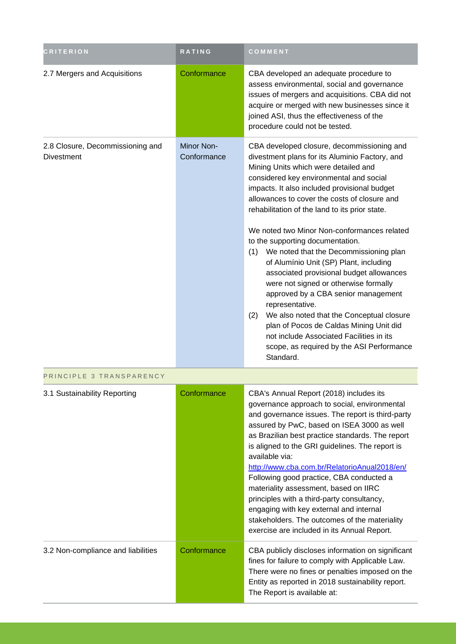| <b>CRITERION</b>                                      | RATING                           | COMMENT                                                                                                                                                                                                                                                                                                                                                                                                                                                                                                                                                                                                                                                                                                                                                                                                                                                          |
|-------------------------------------------------------|----------------------------------|------------------------------------------------------------------------------------------------------------------------------------------------------------------------------------------------------------------------------------------------------------------------------------------------------------------------------------------------------------------------------------------------------------------------------------------------------------------------------------------------------------------------------------------------------------------------------------------------------------------------------------------------------------------------------------------------------------------------------------------------------------------------------------------------------------------------------------------------------------------|
| 2.7 Mergers and Acquisitions                          | Conformance                      | CBA developed an adequate procedure to<br>assess environmental, social and governance<br>issues of mergers and acquisitions. CBA did not<br>acquire or merged with new businesses since it<br>joined ASI, thus the effectiveness of the<br>procedure could not be tested.                                                                                                                                                                                                                                                                                                                                                                                                                                                                                                                                                                                        |
| 2.8 Closure, Decommissioning and<br><b>Divestment</b> | <b>Minor Non-</b><br>Conformance | CBA developed closure, decommissioning and<br>divestment plans for its Aluminio Factory, and<br>Mining Units which were detailed and<br>considered key environmental and social<br>impacts. It also included provisional budget<br>allowances to cover the costs of closure and<br>rehabilitation of the land to its prior state.<br>We noted two Minor Non-conformances related<br>to the supporting documentation.<br>(1) We noted that the Decommissioning plan<br>of Alumínio Unit (SP) Plant, including<br>associated provisional budget allowances<br>were not signed or otherwise formally<br>approved by a CBA senior management<br>representative.<br>(2)<br>We also noted that the Conceptual closure<br>plan of Pocos de Caldas Mining Unit did<br>not include Associated Facilities in its<br>scope, as required by the ASI Performance<br>Standard. |

| PRINCIPLE 3 TRANSPARENCY           |             |                                                                                                                                                                                                                                                                                                                                                                                                                                                                                                                                                                                                                                                  |  |
|------------------------------------|-------------|--------------------------------------------------------------------------------------------------------------------------------------------------------------------------------------------------------------------------------------------------------------------------------------------------------------------------------------------------------------------------------------------------------------------------------------------------------------------------------------------------------------------------------------------------------------------------------------------------------------------------------------------------|--|
| 3.1 Sustainability Reporting       | Conformance | CBA's Annual Report (2018) includes its<br>governance approach to social, environmental<br>and governance issues. The report is third-party<br>assured by PwC, based on ISEA 3000 as well<br>as Brazilian best practice standards. The report<br>is aligned to the GRI guidelines. The report is<br>available via:<br>http://www.cba.com.br/RelatorioAnual2018/en/<br>Following good practice, CBA conducted a<br>materiality assessment, based on IIRC<br>principles with a third-party consultancy,<br>engaging with key external and internal<br>stakeholders. The outcomes of the materiality<br>exercise are included in its Annual Report. |  |
| 3.2 Non-compliance and liabilities | Conformance | CBA publicly discloses information on significant<br>fines for failure to comply with Applicable Law.<br>There were no fines or penalties imposed on the<br>Entity as reported in 2018 sustainability report.<br>The Report is available at:                                                                                                                                                                                                                                                                                                                                                                                                     |  |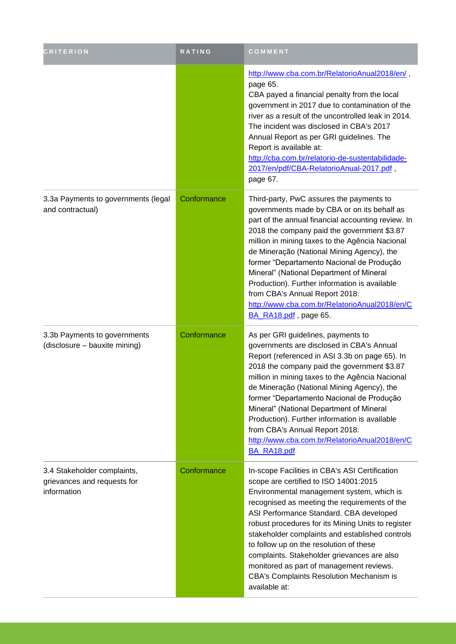| <b>CRITERION</b>                                                          | RATING      | COMMENT                                                                                                                                                                                                                                                                                                                                                                                                                                                                                                                                             |
|---------------------------------------------------------------------------|-------------|-----------------------------------------------------------------------------------------------------------------------------------------------------------------------------------------------------------------------------------------------------------------------------------------------------------------------------------------------------------------------------------------------------------------------------------------------------------------------------------------------------------------------------------------------------|
|                                                                           |             | http://www.cba.com.br/RelatorioAnual2018/en/,<br>page 65.<br>CBA payed a financial penalty from the local<br>government in 2017 due to contamination of the<br>river as a result of the uncontrolled leak in 2014.<br>The incident was disclosed in CBA's 2017<br>Annual Report as per GRI guidelines. The<br>Report is available at:<br>http://cba.com.br/relatorio-de-sustentabilidade-<br>2017/en/pdf/CBA-RelatorioAnual-2017.pdf,<br>page 67.                                                                                                   |
| 3.3a Payments to governments (legal<br>and contractual)                   | Conformance | Third-party, PwC assures the payments to<br>governments made by CBA or on its behalf as<br>part of the annual financial accounting review. In<br>2018 the company paid the government \$3.87<br>million in mining taxes to the Agência Nacional<br>de Mineração (National Mining Agency), the<br>former "Departamento Nacional de Produção<br>Mineral" (National Department of Mineral<br>Production). Further information is available<br>from CBA's Annual Report 2018:<br>http://www.cba.com.br/RelatorioAnual2018/en/C<br>BA_RA18.pdf, page 65. |
| 3.3b Payments to governments<br>(disclosure - bauxite mining)             | Conformance | As per GRI guidelines, payments to<br>governments are disclosed in CBA's Annual<br>Report (referenced in ASI 3.3b on page 65). In<br>2018 the company paid the government \$3.87<br>million in mining taxes to the Agência Nacional<br>de Mineração (National Mining Agency), the<br>former "Departamento Nacional de Produção<br>Mineral" (National Department of Mineral<br>Production). Further information is available<br>from CBA's Annual Report 2018:<br>http://www.cba.com.br/RelatorioAnual2018/en/C<br>BA_RA18.pdf                       |
| 3.4 Stakeholder complaints,<br>grievances and requests for<br>information | Conformance | In-scope Facilities in CBA's ASI Certification<br>scope are certified to ISO 14001:2015<br>Environmental management system, which is<br>recognised as meeting the requirements of the<br>ASI Performance Standard. CBA developed<br>robust procedures for its Mining Units to register<br>stakeholder complaints and established controls<br>to follow up on the resolution of these<br>complaints. Stakeholder grievances are also<br>monitored as part of management reviews.<br>CBA's Complaints Resolution Mechanism is<br>available at:        |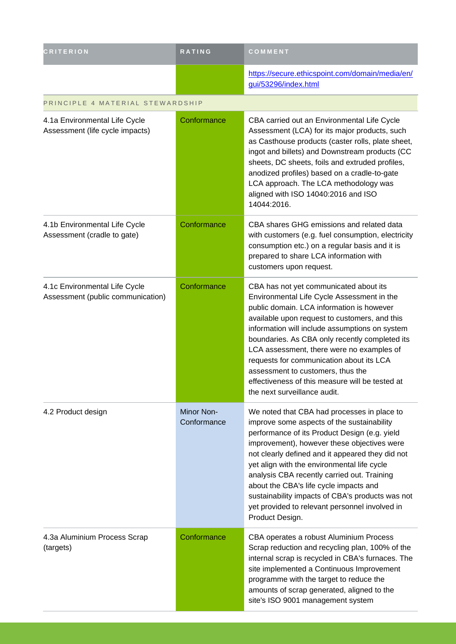| <b>CRITERION</b>                                                   | <b>RATING</b>             | COMMENT                                                                                                                                                                                                                                                                                                                                                                                                                                                                                                        |
|--------------------------------------------------------------------|---------------------------|----------------------------------------------------------------------------------------------------------------------------------------------------------------------------------------------------------------------------------------------------------------------------------------------------------------------------------------------------------------------------------------------------------------------------------------------------------------------------------------------------------------|
|                                                                    |                           | https://secure.ethicspoint.com/domain/media/en/<br>gui/53296/index.html                                                                                                                                                                                                                                                                                                                                                                                                                                        |
| PRINCIPLE 4 MATERIAL STEWARDSHIP                                   |                           |                                                                                                                                                                                                                                                                                                                                                                                                                                                                                                                |
| 4.1a Environmental Life Cycle<br>Assessment (life cycle impacts)   | Conformance               | CBA carried out an Environmental Life Cycle<br>Assessment (LCA) for its major products, such<br>as Casthouse products (caster rolls, plate sheet,<br>ingot and billets) and Downstream products (CC<br>sheets, DC sheets, foils and extruded profiles,<br>anodized profiles) based on a cradle-to-gate<br>LCA approach. The LCA methodology was<br>aligned with ISO 14040:2016 and ISO<br>14044:2016.                                                                                                          |
| 4.1b Environmental Life Cycle<br>Assessment (cradle to gate)       | Conformance               | CBA shares GHG emissions and related data<br>with customers (e.g. fuel consumption, electricity<br>consumption etc.) on a regular basis and it is<br>prepared to share LCA information with<br>customers upon request.                                                                                                                                                                                                                                                                                         |
| 4.1c Environmental Life Cycle<br>Assessment (public communication) | Conformance               | CBA has not yet communicated about its<br>Environmental Life Cycle Assessment in the<br>public domain. LCA information is however<br>available upon request to customers, and this<br>information will include assumptions on system<br>boundaries. As CBA only recently completed its<br>LCA assessment, there were no examples of<br>requests for communication about its LCA<br>assessment to customers, thus the<br>effectiveness of this measure will be tested at<br>the next surveillance audit.        |
| 4.2 Product design                                                 | Minor Non-<br>Conformance | We noted that CBA had processes in place to<br>improve some aspects of the sustainability<br>performance of its Product Design (e.g. yield<br>improvement), however these objectives were<br>not clearly defined and it appeared they did not<br>yet align with the environmental life cycle<br>analysis CBA recently carried out. Training<br>about the CBA's life cycle impacts and<br>sustainability impacts of CBA's products was not<br>yet provided to relevant personnel involved in<br>Product Design. |
| 4.3a Aluminium Process Scrap<br>(targets)                          | Conformance               | CBA operates a robust Aluminium Process<br>Scrap reduction and recycling plan, 100% of the<br>internal scrap is recycled in CBA's furnaces. The<br>site implemented a Continuous Improvement<br>programme with the target to reduce the<br>amounts of scrap generated, aligned to the<br>site's ISO 9001 management system                                                                                                                                                                                     |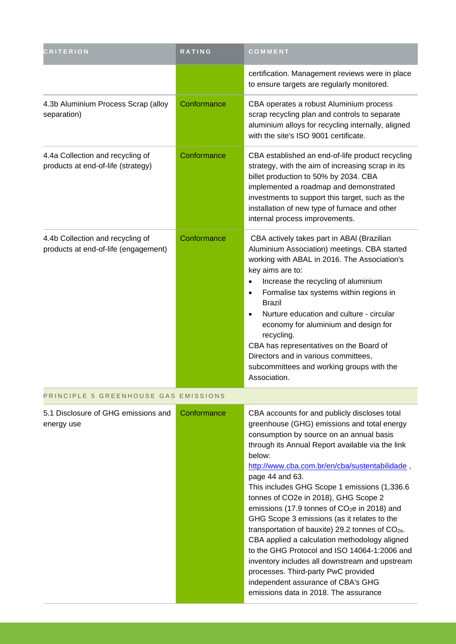| <b>CRITERION</b>                                                         | <b>RATING</b> | COMMENT                                                                                                                                                                                                                                                                                                                                                                                                                                                                                                                                                                                                                                                                                                                                                                                                                 |
|--------------------------------------------------------------------------|---------------|-------------------------------------------------------------------------------------------------------------------------------------------------------------------------------------------------------------------------------------------------------------------------------------------------------------------------------------------------------------------------------------------------------------------------------------------------------------------------------------------------------------------------------------------------------------------------------------------------------------------------------------------------------------------------------------------------------------------------------------------------------------------------------------------------------------------------|
|                                                                          |               | certification. Management reviews were in place<br>to ensure targets are regularly monitored.                                                                                                                                                                                                                                                                                                                                                                                                                                                                                                                                                                                                                                                                                                                           |
| 4.3b Aluminium Process Scrap (alloy<br>separation)                       | Conformance   | CBA operates a robust Aluminium process<br>scrap recycling plan and controls to separate<br>aluminium alloys for recycling internally, aligned<br>with the site's ISO 9001 certificate.                                                                                                                                                                                                                                                                                                                                                                                                                                                                                                                                                                                                                                 |
| 4.4a Collection and recycling of<br>products at end-of-life (strategy)   | Conformance   | CBA established an end-of-life product recycling<br>strategy, with the aim of increasing scrap in its<br>billet production to 50% by 2034. CBA<br>implemented a roadmap and demonstrated<br>investments to support this target, such as the<br>installation of new type of furnace and other<br>internal process improvements.                                                                                                                                                                                                                                                                                                                                                                                                                                                                                          |
| 4.4b Collection and recycling of<br>products at end-of-life (engagement) | Conformance   | CBA actively takes part in ABAI (Brazilian<br>Aluminium Association) meetings. CBA started<br>working with ABAL in 2016. The Association's<br>key aims are to:<br>Increase the recycling of aluminium<br>$\bullet$<br>Formalise tax systems within regions in<br>$\bullet$<br><b>Brazil</b><br>Nurture education and culture - circular<br>$\bullet$<br>economy for aluminium and design for<br>recycling.<br>CBA has representatives on the Board of<br>Directors and in various committees,<br>subcommittees and working groups with the<br>Association.                                                                                                                                                                                                                                                              |
| PRINCIPLE 5 GREENHOUSE GAS EMISSIONS                                     |               |                                                                                                                                                                                                                                                                                                                                                                                                                                                                                                                                                                                                                                                                                                                                                                                                                         |
| 5.1 Disclosure of GHG emissions and<br>energy use                        | Conformance   | CBA accounts for and publicly discloses total<br>greenhouse (GHG) emissions and total energy<br>consumption by source on an annual basis<br>through its Annual Report available via the link<br>below:<br>http://www.cba.com.br/en/cba/sustentabilidade,<br>page 44 and 63.<br>This includes GHG Scope 1 emissions (1,336.6<br>tonnes of CO2e in 2018), GHG Scope 2<br>emissions (17.9 tonnes of CO <sub>2</sub> e in 2018) and<br>GHG Scope 3 emissions (as it relates to the<br>transportation of bauxite) 29.2 tonnes of CO <sub>2e</sub> .<br>CBA applied a calculation methodology aligned<br>to the GHG Protocol and ISO 14064-1:2006 and<br>inventory includes all downstream and upstream<br>processes. Third-party PwC provided<br>independent assurance of CBA's GHG<br>emissions data in 2018. The assurance |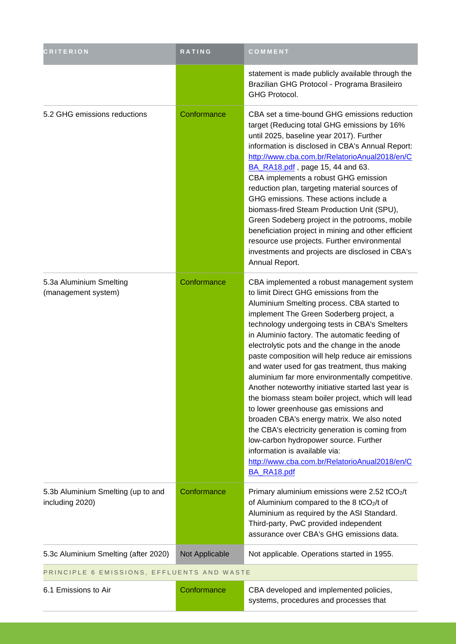| <b>CRITERION</b>                                      | RATING         | COMMENT                                                                                                                                                                                                                                                                                                                                                                                                                                                                                                                                                                                                                                                                                                                                                                                                                                                                                         |
|-------------------------------------------------------|----------------|-------------------------------------------------------------------------------------------------------------------------------------------------------------------------------------------------------------------------------------------------------------------------------------------------------------------------------------------------------------------------------------------------------------------------------------------------------------------------------------------------------------------------------------------------------------------------------------------------------------------------------------------------------------------------------------------------------------------------------------------------------------------------------------------------------------------------------------------------------------------------------------------------|
|                                                       |                | statement is made publicly available through the<br>Brazilian GHG Protocol - Programa Brasileiro<br><b>GHG Protocol.</b>                                                                                                                                                                                                                                                                                                                                                                                                                                                                                                                                                                                                                                                                                                                                                                        |
| 5.2 GHG emissions reductions                          | Conformance    | CBA set a time-bound GHG emissions reduction<br>target (Reducing total GHG emissions by 16%<br>until 2025, baseline year 2017). Further<br>information is disclosed in CBA's Annual Report:<br>http://www.cba.com.br/RelatorioAnual2018/en/C<br>BA RA18.pdf, page 15, 44 and 63.<br>CBA implements a robust GHG emission<br>reduction plan, targeting material sources of<br>GHG emissions. These actions include a<br>biomass-fired Steam Production Unit (SPU),<br>Green Sodeberg project in the potrooms, mobile<br>beneficiation project in mining and other efficient<br>resource use projects. Further environmental<br>investments and projects are disclosed in CBA's<br>Annual Report.                                                                                                                                                                                                 |
| 5.3a Aluminium Smelting<br>(management system)        | Conformance    | CBA implemented a robust management system<br>to limit Direct GHG emissions from the<br>Aluminium Smelting process. CBA started to<br>implement The Green Soderberg project, a<br>technology undergoing tests in CBA's Smelters<br>in Aluminio factory. The automatic feeding of<br>electrolytic pots and the change in the anode<br>paste composition will help reduce air emissions<br>and water used for gas treatment, thus making<br>aluminium far more environmentally competitive.<br>Another noteworthy initiative started last year is<br>the biomass steam boiler project, which will lead<br>to lower greenhouse gas emissions and<br>broaden CBA's energy matrix. We also noted<br>the CBA's electricity generation is coming from<br>low-carbon hydropower source. Further<br>information is available via:<br>http://www.cba.com.br/RelatorioAnual2018/en/C<br><b>BA RA18.pdf</b> |
| 5.3b Aluminium Smelting (up to and<br>including 2020) | Conformance    | Primary aluminium emissions were 2.52 tCO2/t<br>of Aluminium compared to the 8 tCO2/t of<br>Aluminium as required by the ASI Standard.<br>Third-party, PwC provided independent<br>assurance over CBA's GHG emissions data.                                                                                                                                                                                                                                                                                                                                                                                                                                                                                                                                                                                                                                                                     |
| 5.3c Aluminium Smelting (after 2020)                  | Not Applicable | Not applicable. Operations started in 1955.                                                                                                                                                                                                                                                                                                                                                                                                                                                                                                                                                                                                                                                                                                                                                                                                                                                     |
| PRINCIPLE 6 EMISSIONS, EFFLUENTS AND WASTE            |                |                                                                                                                                                                                                                                                                                                                                                                                                                                                                                                                                                                                                                                                                                                                                                                                                                                                                                                 |
| 6.1 Emissions to Air                                  | Conformance    | CBA developed and implemented policies,<br>systems, procedures and processes that                                                                                                                                                                                                                                                                                                                                                                                                                                                                                                                                                                                                                                                                                                                                                                                                               |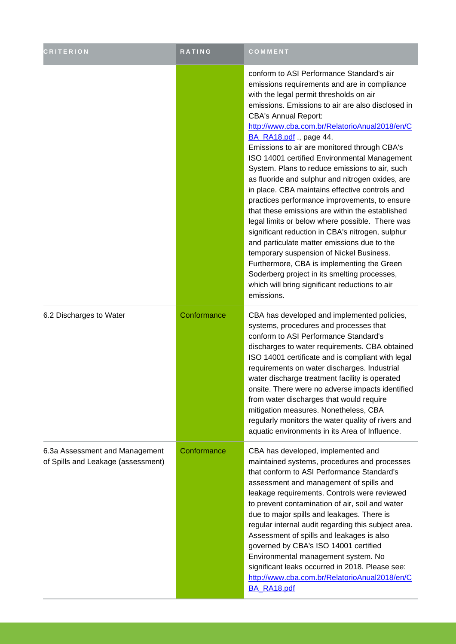| <b>CRITERION</b>                                                     | <b>RATING</b> | COMMENT                                                                                                                                                                                                                                                                                                                                                                                                                                                                                                                                                                                                                                                                                                                                                                                                                                                                                                                                                                                                                         |
|----------------------------------------------------------------------|---------------|---------------------------------------------------------------------------------------------------------------------------------------------------------------------------------------------------------------------------------------------------------------------------------------------------------------------------------------------------------------------------------------------------------------------------------------------------------------------------------------------------------------------------------------------------------------------------------------------------------------------------------------------------------------------------------------------------------------------------------------------------------------------------------------------------------------------------------------------------------------------------------------------------------------------------------------------------------------------------------------------------------------------------------|
|                                                                      |               | conform to ASI Performance Standard's air<br>emissions requirements and are in compliance<br>with the legal permit thresholds on air<br>emissions. Emissions to air are also disclosed in<br><b>CBA's Annual Report:</b><br>http://www.cba.com.br/RelatorioAnual2018/en/C<br>BA_RA18.pdf., page 44.<br>Emissions to air are monitored through CBA's<br>ISO 14001 certified Environmental Management<br>System. Plans to reduce emissions to air, such<br>as fluoride and sulphur and nitrogen oxides, are<br>in place. CBA maintains effective controls and<br>practices performance improvements, to ensure<br>that these emissions are within the established<br>legal limits or below where possible. There was<br>significant reduction in CBA's nitrogen, sulphur<br>and particulate matter emissions due to the<br>temporary suspension of Nickel Business.<br>Furthermore, CBA is implementing the Green<br>Soderberg project in its smelting processes,<br>which will bring significant reductions to air<br>emissions. |
| 6.2 Discharges to Water                                              | Conformance   | CBA has developed and implemented policies,<br>systems, procedures and processes that<br>conform to ASI Performance Standard's<br>discharges to water requirements. CBA obtained<br>ISO 14001 certificate and is compliant with legal<br>requirements on water discharges. Industrial<br>water discharge treatment facility is operated<br>onsite. There were no adverse impacts identified<br>from water discharges that would require<br>mitigation measures. Nonetheless, CBA<br>regularly monitors the water quality of rivers and<br>aquatic environments in its Area of Influence.                                                                                                                                                                                                                                                                                                                                                                                                                                        |
| 6.3a Assessment and Management<br>of Spills and Leakage (assessment) | Conformance   | CBA has developed, implemented and<br>maintained systems, procedures and processes<br>that conform to ASI Performance Standard's<br>assessment and management of spills and<br>leakage requirements. Controls were reviewed<br>to prevent contamination of air, soil and water<br>due to major spills and leakages. There is<br>regular internal audit regarding this subject area.<br>Assessment of spills and leakages is also<br>governed by CBA's ISO 14001 certified<br>Environmental management system. No<br>significant leaks occurred in 2018. Please see:<br>http://www.cba.com.br/RelatorioAnual2018/en/C<br><b>BA RA18.pdf</b>                                                                                                                                                                                                                                                                                                                                                                                      |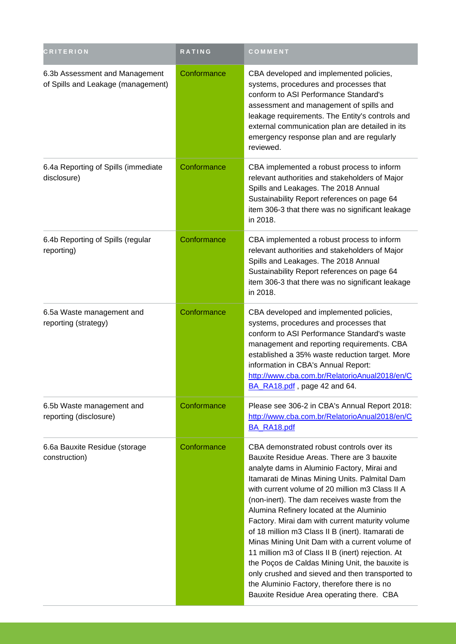| <b>CRITERION</b>                                                     | RATING      | COMMENT                                                                                                                                                                                                                                                                                                                                                                                                                                                                                                                                                                                                                                                                                                                                                 |
|----------------------------------------------------------------------|-------------|---------------------------------------------------------------------------------------------------------------------------------------------------------------------------------------------------------------------------------------------------------------------------------------------------------------------------------------------------------------------------------------------------------------------------------------------------------------------------------------------------------------------------------------------------------------------------------------------------------------------------------------------------------------------------------------------------------------------------------------------------------|
| 6.3b Assessment and Management<br>of Spills and Leakage (management) | Conformance | CBA developed and implemented policies,<br>systems, procedures and processes that<br>conform to ASI Performance Standard's<br>assessment and management of spills and<br>leakage requirements. The Entity's controls and<br>external communication plan are detailed in its<br>emergency response plan and are regularly<br>reviewed.                                                                                                                                                                                                                                                                                                                                                                                                                   |
| 6.4a Reporting of Spills (immediate<br>disclosure)                   | Conformance | CBA implemented a robust process to inform<br>relevant authorities and stakeholders of Major<br>Spills and Leakages. The 2018 Annual<br>Sustainability Report references on page 64<br>item 306-3 that there was no significant leakage<br>in 2018.                                                                                                                                                                                                                                                                                                                                                                                                                                                                                                     |
| 6.4b Reporting of Spills (regular<br>reporting)                      | Conformance | CBA implemented a robust process to inform<br>relevant authorities and stakeholders of Major<br>Spills and Leakages. The 2018 Annual<br>Sustainability Report references on page 64<br>item 306-3 that there was no significant leakage<br>in 2018.                                                                                                                                                                                                                                                                                                                                                                                                                                                                                                     |
| 6.5a Waste management and<br>reporting (strategy)                    | Conformance | CBA developed and implemented policies,<br>systems, procedures and processes that<br>conform to ASI Performance Standard's waste<br>management and reporting requirements. CBA<br>established a 35% waste reduction target. More<br>information in CBA's Annual Report:<br>http://www.cba.com.br/RelatorioAnual2018/en/C<br>BA RA18.pdf, page 42 and 64.                                                                                                                                                                                                                                                                                                                                                                                                |
| 6.5b Waste management and<br>reporting (disclosure)                  | Conformance | Please see 306-2 in CBA's Annual Report 2018:<br>http://www.cba.com.br/RelatorioAnual2018/en/C<br>BA_RA18.pdf                                                                                                                                                                                                                                                                                                                                                                                                                                                                                                                                                                                                                                           |
| 6.6a Bauxite Residue (storage<br>construction)                       | Conformance | CBA demonstrated robust controls over its<br>Bauxite Residue Areas. There are 3 bauxite<br>analyte dams in Aluminio Factory, Mirai and<br>Itamarati de Minas Mining Units. Palmital Dam<br>with current volume of 20 million m3 Class II A<br>(non-inert). The dam receives waste from the<br>Alumina Refinery located at the Aluminio<br>Factory. Mirai dam with current maturity volume<br>of 18 million m3 Class II B (inert). Itamarati de<br>Minas Mining Unit Dam with a current volume of<br>11 million m3 of Class II B (inert) rejection. At<br>the Poços de Caldas Mining Unit, the bauxite is<br>only crushed and sieved and then transported to<br>the Aluminio Factory, therefore there is no<br>Bauxite Residue Area operating there. CBA |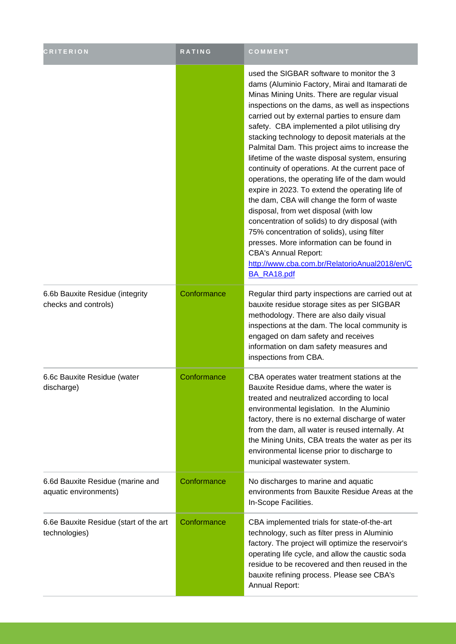| <b>CRITERION</b>                                          | <b>RATING</b> | COMMENT                                                                                                                                                                                                                                                                                                                                                                                                                                                                                                                                                                                                                                                                                                                                                                                                                                                                                                                                                |
|-----------------------------------------------------------|---------------|--------------------------------------------------------------------------------------------------------------------------------------------------------------------------------------------------------------------------------------------------------------------------------------------------------------------------------------------------------------------------------------------------------------------------------------------------------------------------------------------------------------------------------------------------------------------------------------------------------------------------------------------------------------------------------------------------------------------------------------------------------------------------------------------------------------------------------------------------------------------------------------------------------------------------------------------------------|
|                                                           |               | used the SIGBAR software to monitor the 3<br>dams (Aluminio Factory, Mirai and Itamarati de<br>Minas Mining Units. There are regular visual<br>inspections on the dams, as well as inspections<br>carried out by external parties to ensure dam<br>safety. CBA implemented a pilot utilising dry<br>stacking technology to deposit materials at the<br>Palmital Dam. This project aims to increase the<br>lifetime of the waste disposal system, ensuring<br>continuity of operations. At the current pace of<br>operations, the operating life of the dam would<br>expire in 2023. To extend the operating life of<br>the dam, CBA will change the form of waste<br>disposal, from wet disposal (with low<br>concentration of solids) to dry disposal (with<br>75% concentration of solids), using filter<br>presses. More information can be found in<br><b>CBA's Annual Report:</b><br>http://www.cba.com.br/RelatorioAnual2018/en/C<br>BA RA18.pdf |
| 6.6b Bauxite Residue (integrity<br>checks and controls)   | Conformance   | Regular third party inspections are carried out at<br>bauxite residue storage sites as per SIGBAR<br>methodology. There are also daily visual<br>inspections at the dam. The local community is<br>engaged on dam safety and receives<br>information on dam safety measures and<br>inspections from CBA.                                                                                                                                                                                                                                                                                                                                                                                                                                                                                                                                                                                                                                               |
| 6.6c Bauxite Residue (water<br>discharge)                 | Conformance   | CBA operates water treatment stations at the<br>Bauxite Residue dams, where the water is<br>treated and neutralized according to local<br>environmental legislation. In the Aluminio<br>factory, there is no external discharge of water<br>from the dam, all water is reused internally. At<br>the Mining Units, CBA treats the water as per its<br>environmental license prior to discharge to<br>municipal wastewater system.                                                                                                                                                                                                                                                                                                                                                                                                                                                                                                                       |
| 6.6d Bauxite Residue (marine and<br>aquatic environments) | Conformance   | No discharges to marine and aquatic<br>environments from Bauxite Residue Areas at the<br>In-Scope Facilities.                                                                                                                                                                                                                                                                                                                                                                                                                                                                                                                                                                                                                                                                                                                                                                                                                                          |
| 6.6e Bauxite Residue (start of the art<br>technologies)   | Conformance   | CBA implemented trials for state-of-the-art<br>technology, such as filter press in Aluminio<br>factory. The project will optimize the reservoir's<br>operating life cycle, and allow the caustic soda<br>residue to be recovered and then reused in the<br>bauxite refining process. Please see CBA's<br>Annual Report:                                                                                                                                                                                                                                                                                                                                                                                                                                                                                                                                                                                                                                |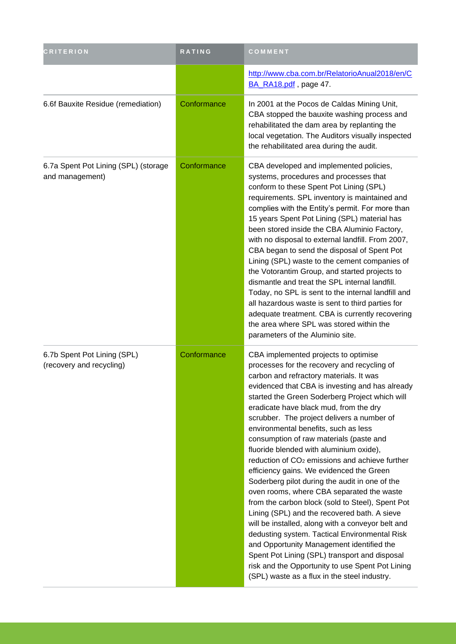| <b>CRITERION</b>                                        | RATING      | COMMENT                                                                                                                                                                                                                                                                                                                                                                                                                                                                                                                                                                                                                                                                                                                                                                                                                                                                                                                                                                                                                                                                        |
|---------------------------------------------------------|-------------|--------------------------------------------------------------------------------------------------------------------------------------------------------------------------------------------------------------------------------------------------------------------------------------------------------------------------------------------------------------------------------------------------------------------------------------------------------------------------------------------------------------------------------------------------------------------------------------------------------------------------------------------------------------------------------------------------------------------------------------------------------------------------------------------------------------------------------------------------------------------------------------------------------------------------------------------------------------------------------------------------------------------------------------------------------------------------------|
|                                                         |             | http://www.cba.com.br/RelatorioAnual2018/en/C<br>BA_RA18.pdf, page 47.                                                                                                                                                                                                                                                                                                                                                                                                                                                                                                                                                                                                                                                                                                                                                                                                                                                                                                                                                                                                         |
| 6.6f Bauxite Residue (remediation)                      | Conformance | In 2001 at the Pocos de Caldas Mining Unit,<br>CBA stopped the bauxite washing process and<br>rehabilitated the dam area by replanting the<br>local vegetation. The Auditors visually inspected<br>the rehabilitated area during the audit.                                                                                                                                                                                                                                                                                                                                                                                                                                                                                                                                                                                                                                                                                                                                                                                                                                    |
| 6.7a Spent Pot Lining (SPL) (storage<br>and management) | Conformance | CBA developed and implemented policies,<br>systems, procedures and processes that<br>conform to these Spent Pot Lining (SPL)<br>requirements. SPL inventory is maintained and<br>complies with the Entity's permit. For more than<br>15 years Spent Pot Lining (SPL) material has<br>been stored inside the CBA Aluminio Factory,<br>with no disposal to external landfill. From 2007,<br>CBA began to send the disposal of Spent Pot<br>Lining (SPL) waste to the cement companies of<br>the Votorantim Group, and started projects to<br>dismantle and treat the SPL internal landfill.<br>Today, no SPL is sent to the internal landfill and<br>all hazardous waste is sent to third parties for<br>adequate treatment. CBA is currently recovering<br>the area where SPL was stored within the<br>parameters of the Aluminio site.                                                                                                                                                                                                                                         |
| 6.7b Spent Pot Lining (SPL)<br>(recovery and recycling) | Conformance | CBA implemented projects to optimise<br>processes for the recovery and recycling of<br>carbon and refractory materials. It was<br>evidenced that CBA is investing and has already<br>started the Green Soderberg Project which will<br>eradicate have black mud, from the dry<br>scrubber. The project delivers a number of<br>environmental benefits, such as less<br>consumption of raw materials (paste and<br>fluoride blended with aluminium oxide),<br>reduction of CO <sub>2</sub> emissions and achieve further<br>efficiency gains. We evidenced the Green<br>Soderberg pilot during the audit in one of the<br>oven rooms, where CBA separated the waste<br>from the carbon block (sold to Steel), Spent Pot<br>Lining (SPL) and the recovered bath. A sieve<br>will be installed, along with a conveyor belt and<br>dedusting system. Tactical Environmental Risk<br>and Opportunity Management identified the<br>Spent Pot Lining (SPL) transport and disposal<br>risk and the Opportunity to use Spent Pot Lining<br>(SPL) waste as a flux in the steel industry. |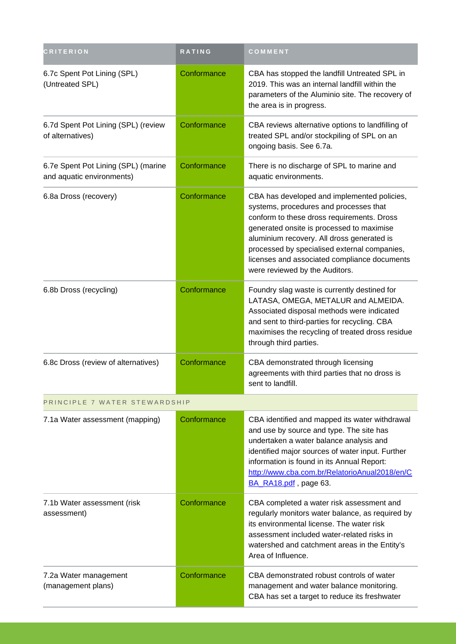| <b>CRITERION</b>                                                 | RATING      | COMMENT                                                                                                                                                                                                                                                                                                                                                          |
|------------------------------------------------------------------|-------------|------------------------------------------------------------------------------------------------------------------------------------------------------------------------------------------------------------------------------------------------------------------------------------------------------------------------------------------------------------------|
| 6.7c Spent Pot Lining (SPL)<br>(Untreated SPL)                   | Conformance | CBA has stopped the landfill Untreated SPL in<br>2019. This was an internal landfill within the<br>parameters of the Aluminio site. The recovery of<br>the area is in progress.                                                                                                                                                                                  |
| 6.7d Spent Pot Lining (SPL) (review<br>of alternatives)          | Conformance | CBA reviews alternative options to landfilling of<br>treated SPL and/or stockpiling of SPL on an<br>ongoing basis. See 6.7a.                                                                                                                                                                                                                                     |
| 6.7e Spent Pot Lining (SPL) (marine<br>and aquatic environments) | Conformance | There is no discharge of SPL to marine and<br>aquatic environments.                                                                                                                                                                                                                                                                                              |
| 6.8a Dross (recovery)                                            | Conformance | CBA has developed and implemented policies,<br>systems, procedures and processes that<br>conform to these dross requirements. Dross<br>generated onsite is processed to maximise<br>aluminium recovery. All dross generated is<br>processed by specialised external companies,<br>licenses and associated compliance documents<br>were reviewed by the Auditors. |
| 6.8b Dross (recycling)                                           | Conformance | Foundry slag waste is currently destined for<br>LATASA, OMEGA, METALUR and ALMEIDA.<br>Associated disposal methods were indicated<br>and sent to third-parties for recycling. CBA<br>maximises the recycling of treated dross residue<br>through third parties.                                                                                                  |
| 6.8c Dross (review of alternatives)                              | Conformance | CBA demonstrated through licensing<br>agreements with third parties that no dross is<br>sent to landfill.                                                                                                                                                                                                                                                        |
| PRINCIPLE 7 WATER STEWARDSHIP                                    |             |                                                                                                                                                                                                                                                                                                                                                                  |
| 7.1a Water assessment (mapping)                                  | Conformance | CBA identified and mapped its water withdrawal<br>and use by source and type. The site has<br>undertaken a water balance analysis and<br>identified major sources of water input. Further<br>information is found in its Annual Report:<br>http://www.cba.com.br/RelatorioAnual2018/en/C<br>BA_RA18.pdf , page 63.                                               |
| 7.1b Water assessment (risk<br>assessment)                       | Conformance | CBA completed a water risk assessment and<br>regularly monitors water balance, as required by<br>its environmental license. The water risk<br>assessment included water-related risks in<br>watershed and catchment areas in the Entity's<br>Area of Influence.                                                                                                  |
| 7.2a Water management<br>(management plans)                      | Conformance | CBA demonstrated robust controls of water<br>management and water balance monitoring.<br>CBA has set a target to reduce its freshwater                                                                                                                                                                                                                           |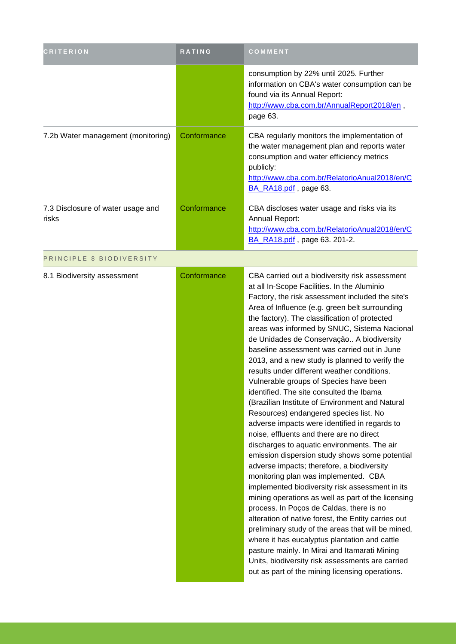| <b>CRITERION</b>                           | RATING      | COMMENT                                                                                                                                                                                                                                                                                                                                                                                                                                                                                                                                                                                                                                                                                                                                                                                                                                                                                                                                                                                                                                                                                                                                                                                                                                                                                                                                                                                                                                             |
|--------------------------------------------|-------------|-----------------------------------------------------------------------------------------------------------------------------------------------------------------------------------------------------------------------------------------------------------------------------------------------------------------------------------------------------------------------------------------------------------------------------------------------------------------------------------------------------------------------------------------------------------------------------------------------------------------------------------------------------------------------------------------------------------------------------------------------------------------------------------------------------------------------------------------------------------------------------------------------------------------------------------------------------------------------------------------------------------------------------------------------------------------------------------------------------------------------------------------------------------------------------------------------------------------------------------------------------------------------------------------------------------------------------------------------------------------------------------------------------------------------------------------------------|
|                                            |             | consumption by 22% until 2025. Further<br>information on CBA's water consumption can be<br>found via its Annual Report:<br>http://www.cba.com.br/AnnualReport2018/en,<br>page 63.                                                                                                                                                                                                                                                                                                                                                                                                                                                                                                                                                                                                                                                                                                                                                                                                                                                                                                                                                                                                                                                                                                                                                                                                                                                                   |
| 7.2b Water management (monitoring)         | Conformance | CBA regularly monitors the implementation of<br>the water management plan and reports water<br>consumption and water efficiency metrics<br>publicly:<br>http://www.cba.com.br/RelatorioAnual2018/en/C<br>BA_RA18.pdf, page 63.                                                                                                                                                                                                                                                                                                                                                                                                                                                                                                                                                                                                                                                                                                                                                                                                                                                                                                                                                                                                                                                                                                                                                                                                                      |
| 7.3 Disclosure of water usage and<br>risks | Conformance | CBA discloses water usage and risks via its<br>Annual Report:<br>http://www.cba.com.br/RelatorioAnual2018/en/C<br>BA_RA18.pdf , page 63. 201-2.                                                                                                                                                                                                                                                                                                                                                                                                                                                                                                                                                                                                                                                                                                                                                                                                                                                                                                                                                                                                                                                                                                                                                                                                                                                                                                     |
| PRINCIPLE 8 BIODIVERSITY                   |             |                                                                                                                                                                                                                                                                                                                                                                                                                                                                                                                                                                                                                                                                                                                                                                                                                                                                                                                                                                                                                                                                                                                                                                                                                                                                                                                                                                                                                                                     |
| 8.1 Biodiversity assessment                | Conformance | CBA carried out a biodiversity risk assessment<br>at all In-Scope Facilities. In the Aluminio<br>Factory, the risk assessment included the site's<br>Area of Influence (e.g. green belt surrounding<br>the factory). The classification of protected<br>areas was informed by SNUC, Sistema Nacional<br>de Unidades de Conservação A biodiversity<br>baseline assessment was carried out in June<br>2013, and a new study is planned to verify the<br>results under different weather conditions.<br>Vulnerable groups of Species have been<br>identified. The site consulted the Ibama<br>(Brazilian Institute of Environment and Natural<br>Resources) endangered species list. No<br>adverse impacts were identified in regards to<br>noise, effluents and there are no direct<br>discharges to aquatic environments. The air<br>emission dispersion study shows some potential<br>adverse impacts; therefore, a biodiversity<br>monitoring plan was implemented. CBA<br>implemented biodiversity risk assessment in its<br>mining operations as well as part of the licensing<br>process. In Poços de Caldas, there is no<br>alteration of native forest, the Entity carries out<br>preliminary study of the areas that will be mined,<br>where it has eucalyptus plantation and cattle<br>pasture mainly. In Mirai and Itamarati Mining<br>Units, biodiversity risk assessments are carried<br>out as part of the mining licensing operations. |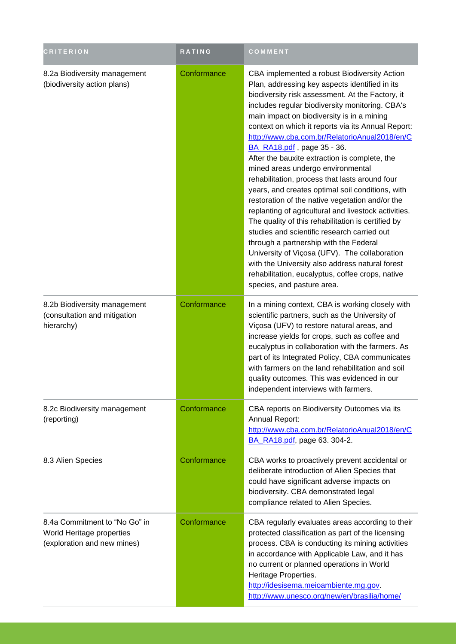| <b>CRITERION</b>                                                                          | RATING      | COMMENT                                                                                                                                                                                                                                                                                                                                                                                                                                                                                                                                                                                                                                                                                                                                                                                                                                                                                                                                                                                                                              |
|-------------------------------------------------------------------------------------------|-------------|--------------------------------------------------------------------------------------------------------------------------------------------------------------------------------------------------------------------------------------------------------------------------------------------------------------------------------------------------------------------------------------------------------------------------------------------------------------------------------------------------------------------------------------------------------------------------------------------------------------------------------------------------------------------------------------------------------------------------------------------------------------------------------------------------------------------------------------------------------------------------------------------------------------------------------------------------------------------------------------------------------------------------------------|
| 8.2a Biodiversity management<br>(biodiversity action plans)                               | Conformance | CBA implemented a robust Biodiversity Action<br>Plan, addressing key aspects identified in its<br>biodiversity risk assessment. At the Factory, it<br>includes regular biodiversity monitoring. CBA's<br>main impact on biodiversity is in a mining<br>context on which it reports via its Annual Report:<br>http://www.cba.com.br/RelatorioAnual2018/en/C<br>BA_RA18.pdf, page 35 - 36.<br>After the bauxite extraction is complete, the<br>mined areas undergo environmental<br>rehabilitation, process that lasts around four<br>years, and creates optimal soil conditions, with<br>restoration of the native vegetation and/or the<br>replanting of agricultural and livestock activities.<br>The quality of this rehabilitation is certified by<br>studies and scientific research carried out<br>through a partnership with the Federal<br>University of Viçosa (UFV). The collaboration<br>with the University also address natural forest<br>rehabilitation, eucalyptus, coffee crops, native<br>species, and pasture area. |
| 8.2b Biodiversity management<br>(consultation and mitigation<br>hierarchy)                | Conformance | In a mining context, CBA is working closely with<br>scientific partners, such as the University of<br>Viçosa (UFV) to restore natural areas, and<br>increase yields for crops, such as coffee and<br>eucalyptus in collaboration with the farmers. As<br>part of its Integrated Policy, CBA communicates<br>with farmers on the land rehabilitation and soil<br>quality outcomes. This was evidenced in our<br>independent interviews with farmers.                                                                                                                                                                                                                                                                                                                                                                                                                                                                                                                                                                                  |
| 8.2c Biodiversity management<br>(reporting)                                               | Conformance | CBA reports on Biodiversity Outcomes via its<br>Annual Report:<br>http://www.cba.com.br/RelatorioAnual2018/en/C<br>BA_RA18.pdf, page 63. 304-2.                                                                                                                                                                                                                                                                                                                                                                                                                                                                                                                                                                                                                                                                                                                                                                                                                                                                                      |
| 8.3 Alien Species                                                                         | Conformance | CBA works to proactively prevent accidental or<br>deliberate introduction of Alien Species that<br>could have significant adverse impacts on<br>biodiversity. CBA demonstrated legal<br>compliance related to Alien Species.                                                                                                                                                                                                                                                                                                                                                                                                                                                                                                                                                                                                                                                                                                                                                                                                         |
| 8.4a Commitment to "No Go" in<br>World Heritage properties<br>(exploration and new mines) | Conformance | CBA regularly evaluates areas according to their<br>protected classification as part of the licensing<br>process. CBA is conducting its mining activities<br>in accordance with Applicable Law, and it has<br>no current or planned operations in World<br>Heritage Properties.<br>http://idesisema.meioambiente.mg.gov.<br>http://www.unesco.org/new/en/brasilia/home/                                                                                                                                                                                                                                                                                                                                                                                                                                                                                                                                                                                                                                                              |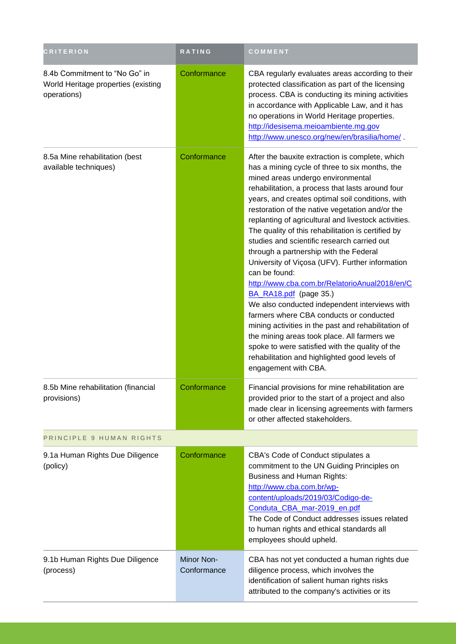| <b>CRITERION</b>                                                                    | <b>RATING</b>             | COMMENT                                                                                                                                                                                                                                                                                                                                                                                                                                                                                                                                                                                                                                                                                                                                                                                                                                                                                                                                                                               |
|-------------------------------------------------------------------------------------|---------------------------|---------------------------------------------------------------------------------------------------------------------------------------------------------------------------------------------------------------------------------------------------------------------------------------------------------------------------------------------------------------------------------------------------------------------------------------------------------------------------------------------------------------------------------------------------------------------------------------------------------------------------------------------------------------------------------------------------------------------------------------------------------------------------------------------------------------------------------------------------------------------------------------------------------------------------------------------------------------------------------------|
| 8.4b Commitment to "No Go" in<br>World Heritage properties (existing<br>operations) | Conformance               | CBA regularly evaluates areas according to their<br>protected classification as part of the licensing<br>process. CBA is conducting its mining activities<br>in accordance with Applicable Law, and it has<br>no operations in World Heritage properties.<br>http://idesisema.meioambiente.mg.gov<br>http://www.unesco.org/new/en/brasilia/home/.                                                                                                                                                                                                                                                                                                                                                                                                                                                                                                                                                                                                                                     |
| 8.5a Mine rehabilitation (best<br>available techniques)                             | Conformance               | After the bauxite extraction is complete, which<br>has a mining cycle of three to six months, the<br>mined areas undergo environmental<br>rehabilitation, a process that lasts around four<br>years, and creates optimal soil conditions, with<br>restoration of the native vegetation and/or the<br>replanting of agricultural and livestock activities.<br>The quality of this rehabilitation is certified by<br>studies and scientific research carried out<br>through a partnership with the Federal<br>University of Viçosa (UFV). Further information<br>can be found:<br>http://www.cba.com.br/RelatorioAnual2018/en/C<br>BA_RA18.pdf (page 35.)<br>We also conducted independent interviews with<br>farmers where CBA conducts or conducted<br>mining activities in the past and rehabilitation of<br>the mining areas took place. All farmers we<br>spoke to were satisfied with the quality of the<br>rehabilitation and highlighted good levels of<br>engagement with CBA. |
| 8.5b Mine rehabilitation (financial<br>provisions)                                  | Contormance               | Financial provisions for mine rehabilitation are<br>provided prior to the start of a project and also<br>made clear in licensing agreements with farmers<br>or other affected stakeholders.                                                                                                                                                                                                                                                                                                                                                                                                                                                                                                                                                                                                                                                                                                                                                                                           |
| PRINCIPLE 9 HUMAN RIGHTS                                                            |                           |                                                                                                                                                                                                                                                                                                                                                                                                                                                                                                                                                                                                                                                                                                                                                                                                                                                                                                                                                                                       |
| 9.1a Human Rights Due Diligence<br>(policy)                                         | Conformance               | CBA's Code of Conduct stipulates a<br>commitment to the UN Guiding Principles on<br><b>Business and Human Rights:</b><br>http://www.cba.com.br/wp-<br>content/uploads/2019/03/Codigo-de-<br>Conduta_CBA_mar-2019_en.pdf<br>The Code of Conduct addresses issues related<br>to human rights and ethical standards all<br>employees should upheld.                                                                                                                                                                                                                                                                                                                                                                                                                                                                                                                                                                                                                                      |
| 9.1b Human Rights Due Diligence<br>(process)                                        | Minor Non-<br>Conformance | CBA has not yet conducted a human rights due<br>diligence process, which involves the<br>identification of salient human rights risks<br>attributed to the company's activities or its                                                                                                                                                                                                                                                                                                                                                                                                                                                                                                                                                                                                                                                                                                                                                                                                |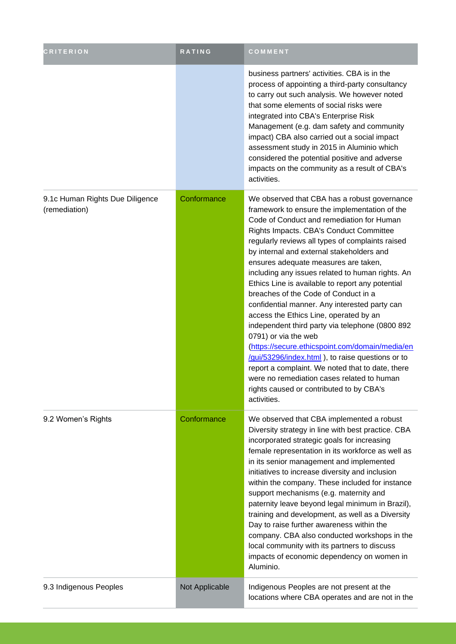| <b>CRITERION</b>                                 | <b>RATING</b>  | COMMENT                                                                                                                                                                                                                                                                                                                                                                                                                                                                                                                                                                                                                                                                                                                                                                                                                                                                                                                   |
|--------------------------------------------------|----------------|---------------------------------------------------------------------------------------------------------------------------------------------------------------------------------------------------------------------------------------------------------------------------------------------------------------------------------------------------------------------------------------------------------------------------------------------------------------------------------------------------------------------------------------------------------------------------------------------------------------------------------------------------------------------------------------------------------------------------------------------------------------------------------------------------------------------------------------------------------------------------------------------------------------------------|
|                                                  |                | business partners' activities. CBA is in the<br>process of appointing a third-party consultancy<br>to carry out such analysis. We however noted<br>that some elements of social risks were<br>integrated into CBA's Enterprise Risk<br>Management (e.g. dam safety and community<br>impact) CBA also carried out a social impact<br>assessment study in 2015 in Aluminio which<br>considered the potential positive and adverse<br>impacts on the community as a result of CBA's<br>activities.                                                                                                                                                                                                                                                                                                                                                                                                                           |
| 9.1c Human Rights Due Diligence<br>(remediation) | Conformance    | We observed that CBA has a robust governance<br>framework to ensure the implementation of the<br>Code of Conduct and remediation for Human<br>Rights Impacts. CBA's Conduct Committee<br>regularly reviews all types of complaints raised<br>by internal and external stakeholders and<br>ensures adequate measures are taken,<br>including any issues related to human rights. An<br>Ethics Line is available to report any potential<br>breaches of the Code of Conduct in a<br>confidential manner. Any interested party can<br>access the Ethics Line, operated by an<br>independent third party via telephone (0800 892<br>0791) or via the web<br>(https://secure.ethicspoint.com/domain/media/en<br>/gui/53296/index.html ), to raise questions or to<br>report a complaint. We noted that to date, there<br>were no remediation cases related to human<br>rights caused or contributed to by CBA's<br>activities. |
| 9.2 Women's Rights                               | Conformance    | We observed that CBA implemented a robust<br>Diversity strategy in line with best practice. CBA<br>incorporated strategic goals for increasing<br>female representation in its workforce as well as<br>in its senior management and implemented<br>initiatives to increase diversity and inclusion<br>within the company. These included for instance<br>support mechanisms (e.g. maternity and<br>paternity leave beyond legal minimum in Brazil),<br>training and development, as well as a Diversity<br>Day to raise further awareness within the<br>company. CBA also conducted workshops in the<br>local community with its partners to discuss<br>impacts of economic dependency on women in<br>Aluminio.                                                                                                                                                                                                           |
| 9.3 Indigenous Peoples                           | Not Applicable | Indigenous Peoples are not present at the<br>locations where CBA operates and are not in the                                                                                                                                                                                                                                                                                                                                                                                                                                                                                                                                                                                                                                                                                                                                                                                                                              |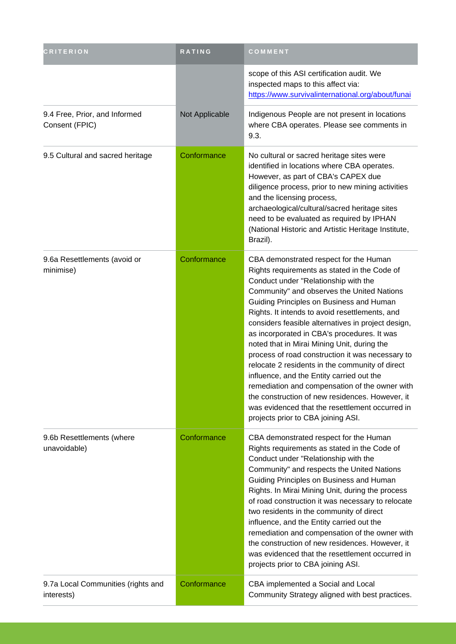| <b>CRITERION</b>                                 | <b>RATING</b>  | COMMENT                                                                                                                                                                                                                                                                                                                                                                                                                                                                                                                                                                                                                                                                                                                                                                          |
|--------------------------------------------------|----------------|----------------------------------------------------------------------------------------------------------------------------------------------------------------------------------------------------------------------------------------------------------------------------------------------------------------------------------------------------------------------------------------------------------------------------------------------------------------------------------------------------------------------------------------------------------------------------------------------------------------------------------------------------------------------------------------------------------------------------------------------------------------------------------|
|                                                  |                | scope of this ASI certification audit. We<br>inspected maps to this affect via:<br>https://www.survivalinternational.org/about/funai                                                                                                                                                                                                                                                                                                                                                                                                                                                                                                                                                                                                                                             |
| 9.4 Free, Prior, and Informed<br>Consent (FPIC)  | Not Applicable | Indigenous People are not present in locations<br>where CBA operates. Please see comments in<br>9.3.                                                                                                                                                                                                                                                                                                                                                                                                                                                                                                                                                                                                                                                                             |
| 9.5 Cultural and sacred heritage                 | Conformance    | No cultural or sacred heritage sites were<br>identified in locations where CBA operates.<br>However, as part of CBA's CAPEX due<br>diligence process, prior to new mining activities<br>and the licensing process,<br>archaeological/cultural/sacred heritage sites<br>need to be evaluated as required by IPHAN<br>(National Historic and Artistic Heritage Institute,<br>Brazil).                                                                                                                                                                                                                                                                                                                                                                                              |
| 9.6a Resettlements (avoid or<br>minimise)        | Conformance    | CBA demonstrated respect for the Human<br>Rights requirements as stated in the Code of<br>Conduct under "Relationship with the<br>Community" and observes the United Nations<br>Guiding Principles on Business and Human<br>Rights. It intends to avoid resettlements, and<br>considers feasible alternatives in project design,<br>as incorporated in CBA's procedures. It was<br>noted that in Mirai Mining Unit, during the<br>process of road construction it was necessary to<br>relocate 2 residents in the community of direct<br>influence, and the Entity carried out the<br>remediation and compensation of the owner with<br>the construction of new residences. However, it<br>was evidenced that the resettlement occurred in<br>projects prior to CBA joining ASI. |
| 9.6b Resettlements (where<br>unavoidable)        | Conformance    | CBA demonstrated respect for the Human<br>Rights requirements as stated in the Code of<br>Conduct under "Relationship with the<br>Community" and respects the United Nations<br>Guiding Principles on Business and Human<br>Rights. In Mirai Mining Unit, during the process<br>of road construction it was necessary to relocate<br>two residents in the community of direct<br>influence, and the Entity carried out the<br>remediation and compensation of the owner with<br>the construction of new residences. However, it<br>was evidenced that the resettlement occurred in<br>projects prior to CBA joining ASI.                                                                                                                                                         |
| 9.7a Local Communities (rights and<br>interests) | Conformance    | CBA implemented a Social and Local<br>Community Strategy aligned with best practices.                                                                                                                                                                                                                                                                                                                                                                                                                                                                                                                                                                                                                                                                                            |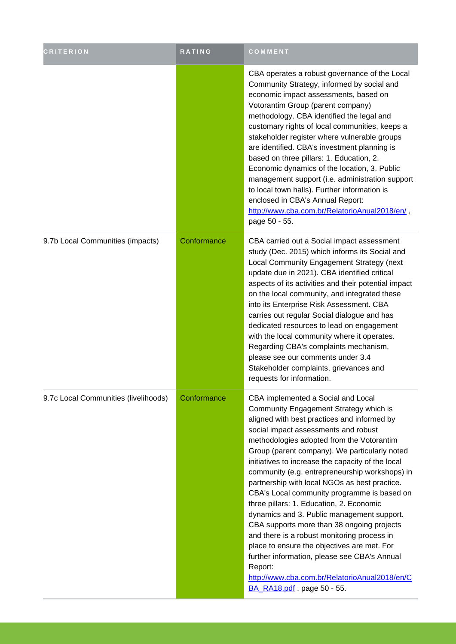| <b>CRITERION</b>                     | <b>RATING</b> | COMMENT                                                                                                                                                                                                                                                                                                                                                                                                                                                                                                                                                                                                                                                                                                                                                                                                                                                  |
|--------------------------------------|---------------|----------------------------------------------------------------------------------------------------------------------------------------------------------------------------------------------------------------------------------------------------------------------------------------------------------------------------------------------------------------------------------------------------------------------------------------------------------------------------------------------------------------------------------------------------------------------------------------------------------------------------------------------------------------------------------------------------------------------------------------------------------------------------------------------------------------------------------------------------------|
|                                      |               | CBA operates a robust governance of the Local<br>Community Strategy, informed by social and<br>economic impact assessments, based on<br>Votorantim Group (parent company)<br>methodology. CBA identified the legal and<br>customary rights of local communities, keeps a<br>stakeholder register where vulnerable groups<br>are identified. CBA's investment planning is<br>based on three pillars: 1. Education, 2.<br>Economic dynamics of the location, 3. Public<br>management support (i.e. administration support<br>to local town halls). Further information is<br>enclosed in CBA's Annual Report:<br>http://www.cba.com.br/RelatorioAnual2018/en/,<br>page 50 - 55.                                                                                                                                                                            |
| 9.7b Local Communities (impacts)     | Conformance   | CBA carried out a Social impact assessment<br>study (Dec. 2015) which informs its Social and<br>Local Community Engagement Strategy (next<br>update due in 2021). CBA identified critical<br>aspects of its activities and their potential impact<br>on the local community, and integrated these<br>into its Enterprise Risk Assessment. CBA<br>carries out regular Social dialogue and has<br>dedicated resources to lead on engagement<br>with the local community where it operates.<br>Regarding CBA's complaints mechanism,<br>please see our comments under 3.4<br>Stakeholder complaints, grievances and<br>requests for information.                                                                                                                                                                                                            |
| 9.7c Local Communities (livelihoods) | Conformance   | CBA implemented a Social and Local<br>Community Engagement Strategy which is<br>aligned with best practices and informed by<br>social impact assessments and robust<br>methodologies adopted from the Votorantim<br>Group (parent company). We particularly noted<br>initiatives to increase the capacity of the local<br>community (e.g. entrepreneurship workshops) in<br>partnership with local NGOs as best practice.<br>CBA's Local community programme is based on<br>three pillars: 1. Education, 2. Economic<br>dynamics and 3. Public management support.<br>CBA supports more than 38 ongoing projects<br>and there is a robust monitoring process in<br>place to ensure the objectives are met. For<br>further information, please see CBA's Annual<br>Report:<br>http://www.cba.com.br/RelatorioAnual2018/en/C<br>BA RA18.pdf, page 50 - 55. |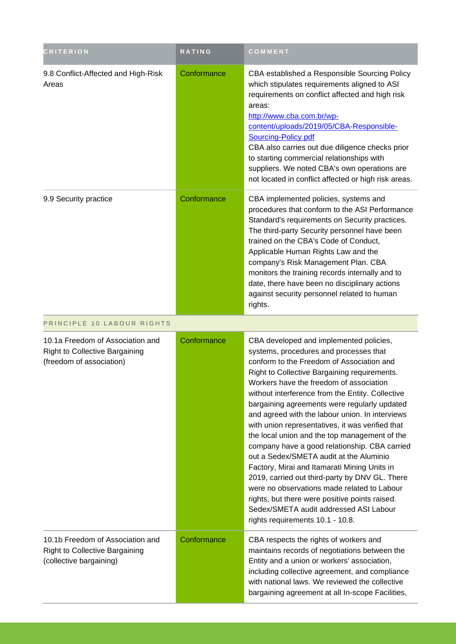| <b>CRITERION</b>                                                                                      | <b>RATING</b> | COMMENT                                                                                                                                                                                                                                                                                                                                                                                                                                                                                                                                                                                                                                                                                                                                                                                                                                                            |
|-------------------------------------------------------------------------------------------------------|---------------|--------------------------------------------------------------------------------------------------------------------------------------------------------------------------------------------------------------------------------------------------------------------------------------------------------------------------------------------------------------------------------------------------------------------------------------------------------------------------------------------------------------------------------------------------------------------------------------------------------------------------------------------------------------------------------------------------------------------------------------------------------------------------------------------------------------------------------------------------------------------|
| 9.8 Conflict-Affected and High-Risk<br>Areas                                                          | Conformance   | CBA established a Responsible Sourcing Policy<br>which stipulates requirements aligned to ASI<br>requirements on conflict affected and high risk<br>areas:<br>http://www.cba.com.br/wp-<br>content/uploads/2019/05/CBA-Responsible-<br>Sourcing-Policy.pdf<br>CBA also carries out due diligence checks prior<br>to starting commercial relationships with<br>suppliers. We noted CBA's own operations are<br>not located in conflict affected or high risk areas.                                                                                                                                                                                                                                                                                                                                                                                                 |
| 9.9 Security practice                                                                                 | Conformance   | CBA implemented policies, systems and<br>procedures that conform to the ASI Performance<br>Standard's requirements on Security practices.<br>The third-party Security personnel have been<br>trained on the CBA's Code of Conduct,<br>Applicable Human Rights Law and the<br>company's Risk Management Plan. CBA<br>monitors the training records internally and to<br>date, there have been no disciplinary actions<br>against security personnel related to human<br>rights.                                                                                                                                                                                                                                                                                                                                                                                     |
| PRINCIPLE 10 LABOUR RIGHTS                                                                            |               |                                                                                                                                                                                                                                                                                                                                                                                                                                                                                                                                                                                                                                                                                                                                                                                                                                                                    |
| 10.1a Freedom of Association and<br><b>Right to Collective Bargaining</b><br>(freedom of association) | Conformance   | CBA developed and implemented policies,<br>systems, procedures and processes that<br>conform to the Freedom of Association and<br>Right to Collective Bargaining requirements.<br>Workers have the freedom of association<br>without interference from the Entity. Collective<br>bargaining agreements were regularly updated<br>and agreed with the labour union. In interviews<br>with union representatives, it was verified that<br>the local union and the top management of the<br>company have a good relationship. CBA carried<br>out a Sedex/SMETA audit at the Aluminio<br>Factory, Mirai and Itamarati Mining Units in<br>2019, carried out third-party by DNV GL. There<br>were no observations made related to Labour<br>rights, but there were positive points raised.<br>Sedex/SMETA audit addressed ASI Labour<br>rights requirements 10.1 - 10.8. |
| 10.1b Freedom of Association and<br><b>Right to Collective Bargaining</b><br>(collective bargaining)  | Conformance   | CBA respects the rights of workers and<br>maintains records of negotiations between the<br>Entity and a union or workers' association,<br>including collective agreement, and compliance<br>with national laws. We reviewed the collective<br>bargaining agreement at all In-scope Facilities,                                                                                                                                                                                                                                                                                                                                                                                                                                                                                                                                                                     |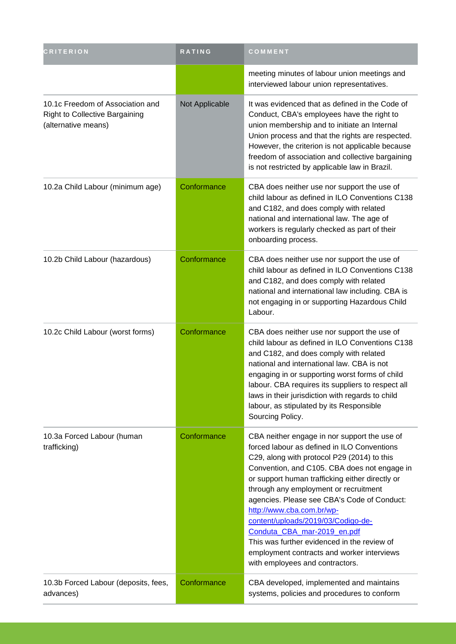| <b>CRITERION</b>                                                                                 | <b>RATING</b>  | COMMENT                                                                                                                                                                                                                                                                                                                                                                                                                                                                                                                                                                 |
|--------------------------------------------------------------------------------------------------|----------------|-------------------------------------------------------------------------------------------------------------------------------------------------------------------------------------------------------------------------------------------------------------------------------------------------------------------------------------------------------------------------------------------------------------------------------------------------------------------------------------------------------------------------------------------------------------------------|
|                                                                                                  |                | meeting minutes of labour union meetings and<br>interviewed labour union representatives.                                                                                                                                                                                                                                                                                                                                                                                                                                                                               |
| 10.1c Freedom of Association and<br><b>Right to Collective Bargaining</b><br>(alternative means) | Not Applicable | It was evidenced that as defined in the Code of<br>Conduct, CBA's employees have the right to<br>union membership and to initiate an Internal<br>Union process and that the rights are respected.<br>However, the criterion is not applicable because<br>freedom of association and collective bargaining<br>is not restricted by applicable law in Brazil.                                                                                                                                                                                                             |
| 10.2a Child Labour (minimum age)                                                                 | Conformance    | CBA does neither use nor support the use of<br>child labour as defined in ILO Conventions C138<br>and C182, and does comply with related<br>national and international law. The age of<br>workers is regularly checked as part of their<br>onboarding process.                                                                                                                                                                                                                                                                                                          |
| 10.2b Child Labour (hazardous)                                                                   | Conformance    | CBA does neither use nor support the use of<br>child labour as defined in ILO Conventions C138<br>and C182, and does comply with related<br>national and international law including. CBA is<br>not engaging in or supporting Hazardous Child<br>Labour.                                                                                                                                                                                                                                                                                                                |
| 10.2c Child Labour (worst forms)                                                                 | Conformance    | CBA does neither use nor support the use of<br>child labour as defined in ILO Conventions C138<br>and C182, and does comply with related<br>national and international law. CBA is not<br>engaging in or supporting worst forms of child<br>labour. CBA requires its suppliers to respect all<br>laws in their jurisdiction with regards to child<br>labour, as stipulated by its Responsible<br>Sourcing Policy.                                                                                                                                                       |
| 10.3a Forced Labour (human<br>trafficking)                                                       | Conformance    | CBA neither engage in nor support the use of<br>forced labour as defined in ILO Conventions<br>C29, along with protocol P29 (2014) to this<br>Convention, and C105. CBA does not engage in<br>or support human trafficking either directly or<br>through any employment or recruitment<br>agencies. Please see CBA's Code of Conduct:<br>http://www.cba.com.br/wp-<br>content/uploads/2019/03/Codigo-de-<br>Conduta_CBA_mar-2019_en.pdf<br>This was further evidenced in the review of<br>employment contracts and worker interviews<br>with employees and contractors. |
| 10.3b Forced Labour (deposits, fees,<br>advances)                                                | Conformance    | CBA developed, implemented and maintains<br>systems, policies and procedures to conform                                                                                                                                                                                                                                                                                                                                                                                                                                                                                 |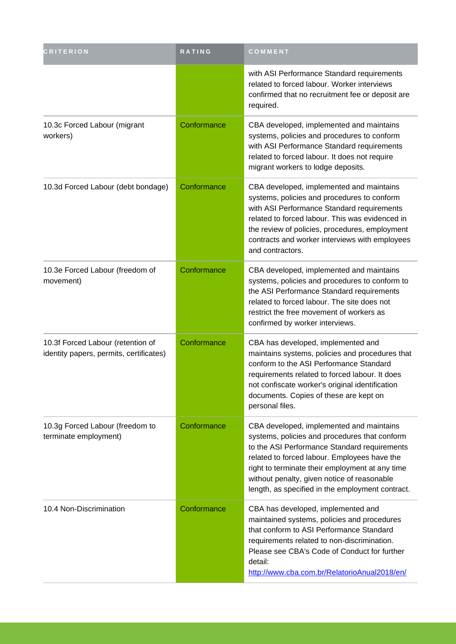| <b>CRITERION</b>                                                             | RATING      | COMMENT                                                                                                                                                                                                                                                                                                                                         |
|------------------------------------------------------------------------------|-------------|-------------------------------------------------------------------------------------------------------------------------------------------------------------------------------------------------------------------------------------------------------------------------------------------------------------------------------------------------|
|                                                                              |             | with ASI Performance Standard requirements<br>related to forced labour. Worker interviews<br>confirmed that no recruitment fee or deposit are<br>required.                                                                                                                                                                                      |
| 10.3c Forced Labour (migrant<br>workers)                                     | Conformance | CBA developed, implemented and maintains<br>systems, policies and procedures to conform<br>with ASI Performance Standard requirements<br>related to forced labour. It does not require<br>migrant workers to lodge deposits.                                                                                                                    |
| 10.3d Forced Labour (debt bondage)                                           | Conformance | CBA developed, implemented and maintains<br>systems, policies and procedures to conform<br>with ASI Performance Standard requirements<br>related to forced labour. This was evidenced in<br>the review of policies, procedures, employment<br>contracts and worker interviews with employees<br>and contractors.                                |
| 10.3e Forced Labour (freedom of<br>movement)                                 | Conformance | CBA developed, implemented and maintains<br>systems, policies and procedures to conform to<br>the ASI Performance Standard requirements<br>related to forced labour. The site does not<br>restrict the free movement of workers as<br>confirmed by worker interviews.                                                                           |
| 10.3f Forced Labour (retention of<br>identity papers, permits, certificates) | Conformance | CBA has developed, implemented and<br>maintains systems, policies and procedures that<br>conform to the ASI Performance Standard<br>requirements related to forced labour. It does<br>not confiscate worker's original identification<br>documents. Copies of these are kept on<br>personal files.                                              |
| 10.3g Forced Labour (freedom to<br>terminate employment)                     | Conformance | CBA developed, implemented and maintains<br>systems, policies and procedures that conform<br>to the ASI Performance Standard requirements<br>related to forced labour. Employees have the<br>right to terminate their employment at any time<br>without penalty, given notice of reasonable<br>length, as specified in the employment contract. |
| 10.4 Non-Discrimination                                                      | Conformance | CBA has developed, implemented and<br>maintained systems, policies and procedures<br>that conform to ASI Performance Standard<br>requirements related to non-discrimination.<br>Please see CBA's Code of Conduct for further<br>detail:<br>http://www.cba.com.br/RelatorioAnual2018/en/                                                         |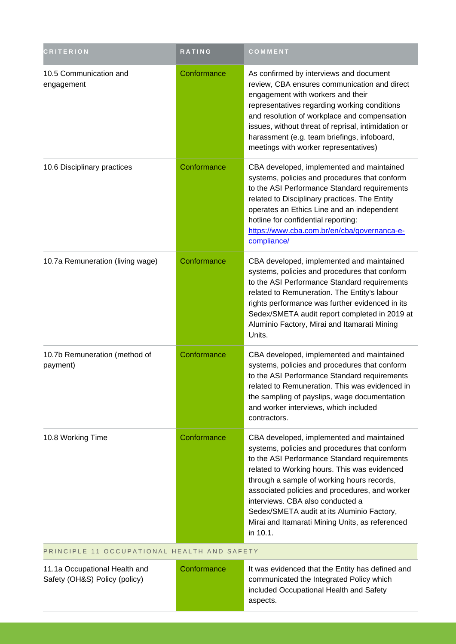| <b>CRITERION</b>                                               | <b>RATING</b> | COMMENT                                                                                                                                                                                                                                                                                                                                                                                                                                     |  |  |
|----------------------------------------------------------------|---------------|---------------------------------------------------------------------------------------------------------------------------------------------------------------------------------------------------------------------------------------------------------------------------------------------------------------------------------------------------------------------------------------------------------------------------------------------|--|--|
| 10.5 Communication and<br>engagement                           | Conformance   | As confirmed by interviews and document<br>review, CBA ensures communication and direct<br>engagement with workers and their<br>representatives regarding working conditions<br>and resolution of workplace and compensation<br>issues, without threat of reprisal, intimidation or<br>harassment (e.g. team briefings, infoboard,<br>meetings with worker representatives)                                                                 |  |  |
| 10.6 Disciplinary practices                                    | Conformance   | CBA developed, implemented and maintained<br>systems, policies and procedures that conform<br>to the ASI Performance Standard requirements<br>related to Disciplinary practices. The Entity<br>operates an Ethics Line and an independent<br>hotline for confidential reporting:<br>https://www.cba.com.br/en/cba/governanca-e-<br>compliance/                                                                                              |  |  |
| 10.7a Remuneration (living wage)                               | Conformance   | CBA developed, implemented and maintained<br>systems, policies and procedures that conform<br>to the ASI Performance Standard requirements<br>related to Remuneration. The Entity's labour<br>rights performance was further evidenced in its<br>Sedex/SMETA audit report completed in 2019 at<br>Aluminio Factory, Mirai and Itamarati Mining<br>Units.                                                                                    |  |  |
| 10.7b Remuneration (method of<br>payment)                      | Conformance   | CBA developed, implemented and maintained<br>systems, policies and procedures that conform<br>to the ASI Performance Standard requirements<br>related to Remuneration. This was evidenced in<br>the sampling of payslips, wage documentation<br>and worker interviews, which included<br>contractors.                                                                                                                                       |  |  |
| 10.8 Working Time                                              | Conformance   | CBA developed, implemented and maintained<br>systems, policies and procedures that conform<br>to the ASI Performance Standard requirements<br>related to Working hours. This was evidenced<br>through a sample of working hours records,<br>associated policies and procedures, and worker<br>interviews. CBA also conducted a<br>Sedex/SMETA audit at its Aluminio Factory,<br>Mirai and Itamarati Mining Units, as referenced<br>in 10.1. |  |  |
| PRINCIPLE 11 OCCUPATIONAL HEALTH AND SAFETY                    |               |                                                                                                                                                                                                                                                                                                                                                                                                                                             |  |  |
| 11.1a Occupational Health and<br>Safety (OH&S) Policy (policy) | Conformance   | It was evidenced that the Entity has defined and<br>communicated the Integrated Policy which<br>included Occupational Health and Safety<br>aspects.                                                                                                                                                                                                                                                                                         |  |  |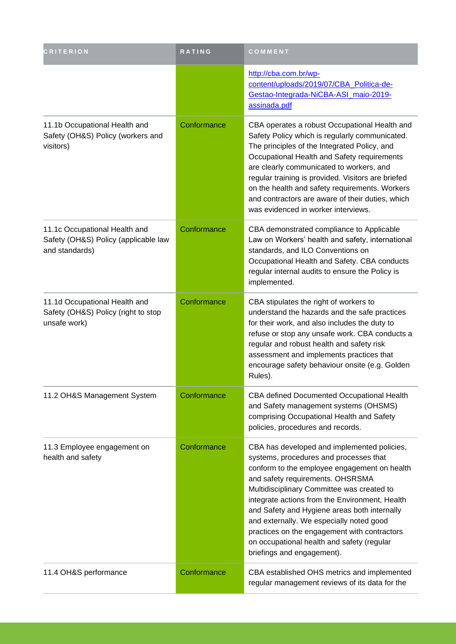| <b>CRITERION</b>                                                                        | <b>RATING</b> | COMMENT                                                                                                                                                                                                                                                                                                                                                                                                                                                                                           |
|-----------------------------------------------------------------------------------------|---------------|---------------------------------------------------------------------------------------------------------------------------------------------------------------------------------------------------------------------------------------------------------------------------------------------------------------------------------------------------------------------------------------------------------------------------------------------------------------------------------------------------|
|                                                                                         |               | http://cba.com.br/wp-<br>content/uploads/2019/07/CBA_Politica-de-<br>Gestao-Integrada-NiCBA-ASI_maio-2019-<br>assinada.pdf                                                                                                                                                                                                                                                                                                                                                                        |
| 11.1b Occupational Health and<br>Safety (OH&S) Policy (workers and<br>visitors)         | Conformance   | CBA operates a robust Occupational Health and<br>Safety Policy which is regularly communicated.<br>The principles of the Integrated Policy, and<br>Occupational Health and Safety requirements<br>are clearly communicated to workers, and<br>regular training is provided. Visitors are briefed<br>on the health and safety requirements. Workers<br>and contractors are aware of their duties, which<br>was evidenced in worker interviews.                                                     |
| 11.1c Occupational Health and<br>Safety (OH&S) Policy (applicable law<br>and standards) | Conformance   | CBA demonstrated compliance to Applicable<br>Law on Workers' health and safety, international<br>standards, and ILO Conventions on<br>Occupational Health and Safety. CBA conducts<br>regular internal audits to ensure the Policy is<br>implemented.                                                                                                                                                                                                                                             |
| 11.1d Occupational Health and<br>Safety (OH&S) Policy (right to stop<br>unsafe work)    | Conformance   | CBA stipulates the right of workers to<br>understand the hazards and the safe practices<br>for their work, and also includes the duty to<br>refuse or stop any unsafe work. CBA conducts a<br>regular and robust health and safety risk<br>assessment and implements practices that<br>encourage safety behaviour onsite (e.g. Golden<br>Rules).                                                                                                                                                  |
| 11.2 OH&S Management System                                                             | Conformance   | CBA defined Documented Occupational Health<br>and Safety management systems (OHSMS)<br>comprising Occupational Health and Safety<br>policies, procedures and records.                                                                                                                                                                                                                                                                                                                             |
| 11.3 Employee engagement on<br>health and safety                                        | Conformance   | CBA has developed and implemented policies,<br>systems, procedures and processes that<br>conform to the employee engagement on health<br>and safety requirements. OHSRSMA<br>Multidisciplinary Committee was created to<br>integrate actions from the Environment, Health<br>and Safety and Hygiene areas both internally<br>and externally. We especially noted good<br>practices on the engagement with contractors<br>on occupational health and safety (regular<br>briefings and engagement). |
| 11.4 OH&S performance                                                                   | Conformance   | CBA established OHS metrics and implemented<br>regular management reviews of its data for the                                                                                                                                                                                                                                                                                                                                                                                                     |